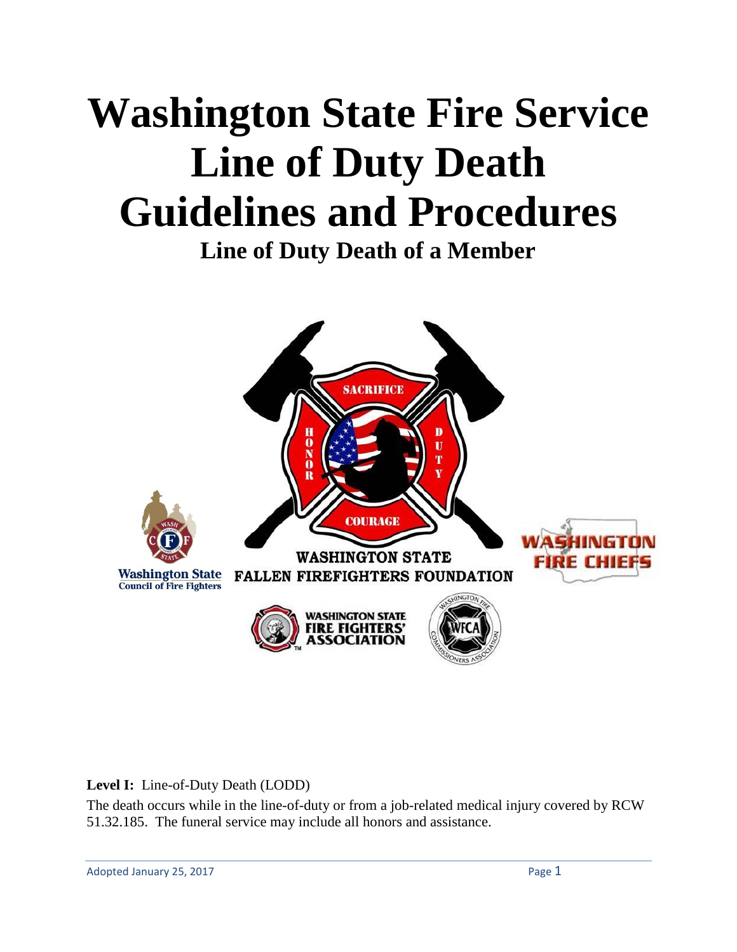# **Washington State Fire Service Line of Duty Death Guidelines and Procedures**

**Line of Duty Death of a Member**



**Level I:** Line-of-Duty Death (LODD)

The death occurs while in the line-of-duty or from a job-related medical injury covered by RCW 51.32.185. The funeral service may include all honors and assistance.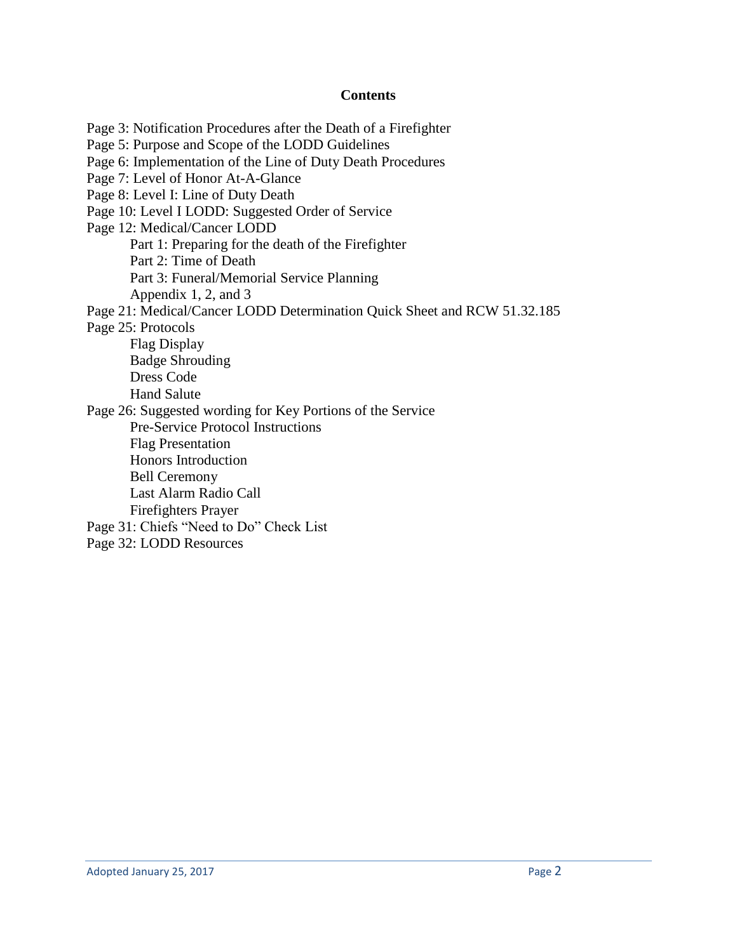#### **Contents**

Page 3: Notification Procedures after the Death of a Firefighter Page 5: Purpose and Scope of the LODD Guidelines Page 6: Implementation of the Line of Duty Death Procedures Page 7: Level of Honor At-A-Glance Page 8: Level I: Line of Duty Death Page 10: Level I LODD: Suggested Order of Service Page 12: Medical/Cancer LODD Part 1: Preparing for the death of the Firefighter Part 2: Time of Death Part 3: Funeral/Memorial Service Planning Appendix 1, 2, and 3 Page 21: Medical/Cancer LODD Determination Quick Sheet and RCW 51.32.185 Page 25: Protocols Flag Display Badge Shrouding Dress Code Hand Salute Page 26: Suggested wording for Key Portions of the Service Pre-Service Protocol Instructions Flag Presentation Honors Introduction Bell Ceremony Last Alarm Radio Call Firefighters Prayer Page 31: Chiefs "Need to Do" Check List Page 32: LODD Resources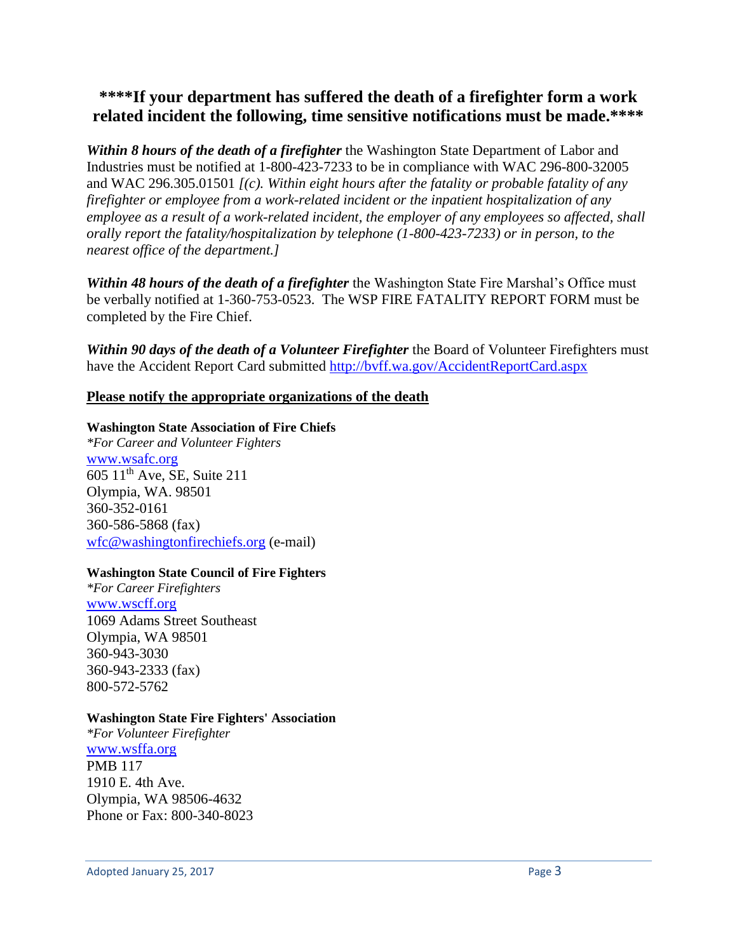# **\*\*\*\*If your department has suffered the death of a firefighter form a work related incident the following, time sensitive notifications must be made.\*\*\*\***

*Within 8 hours of the death of a firefighter* the Washington State Department of Labor and Industries must be notified at 1-800-423-7233 to be in compliance with WAC 296-800-32005 and WAC 296.305.01501 *[(c). Within eight hours after the fatality or probable fatality of any firefighter or employee from a work-related incident or the inpatient hospitalization of any employee as a result of a work-related incident, the employer of any employees so affected, shall orally report the fatality/hospitalization by telephone (1-800-423-7233) or in person, to the nearest office of the department.]*

*Within 48 hours of the death of a firefighter* the Washington State Fire Marshal's Office must be verbally notified at 1-360-753-0523. The WSP FIRE FATALITY REPORT FORM must be completed by the Fire Chief.

*Within 90 days of the death of a Volunteer Firefighter* the Board of Volunteer Firefighters must have the Accident Report Card submitted<http://bvff.wa.gov/AccidentReportCard.aspx>

#### **Please notify the appropriate organizations of the death**

#### **Washington State Association of Fire Chiefs**

*\*For Career and Volunteer Fighters*  [www.wsafc.org](http://www.wsafc.org/) 605 11th Ave, SE, Suite 211 Olympia, WA. 98501 360-352-0161 360-586-5868 (fax) [wfc@washingtonfirechiefs.org](mailto:wfc@washingtonfirechiefs.org) (e-mail)

#### **Washington State Council of Fire Fighters**

*\*For Career Firefighters* [www.wscff.org](http://www.wscff.org/) 1069 Adams Street Southeast Olympia, WA 98501 360-943-3030 360-943-2333 (fax) 800-572-5762

#### **Washington State Fire Fighters' Association**

*\*For Volunteer Firefighter* [www.wsffa.org](http://www.wsffa.org/) PMB 117 1910 E. 4th Ave. Olympia, WA 98506-4632 Phone or Fax: 800-340-8023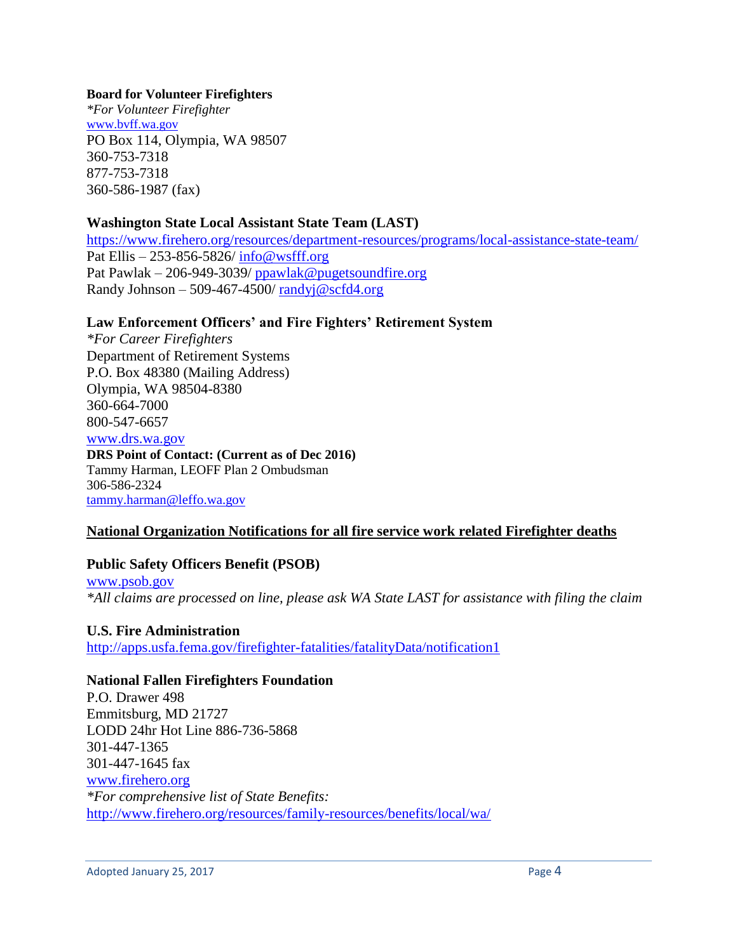#### **Board for Volunteer Firefighters**

*\*For Volunteer Firefighter* [www.bvff.wa.gov](http://www.bvff.wa.gov/) PO Box 114, Olympia, WA 98507 360-753-7318 877-753-7318 360-586-1987 (fax)

#### **Washington State Local Assistant State Team (LAST)**

<https://www.firehero.org/resources/department-resources/programs/local-assistance-state-team/> Pat Ellis – 253-856-5826/ [info@wsfff.org](mailto:info@wsfff.org) Pat Pawlak – 206-949-3039/  $p$ pawlak@pugetsoundfire.org Randy Johnson – 509-467-4500/ [randyj@scfd4.org](mailto:randyj@scfd4.org)

#### **Law Enforcement Officers' and Fire Fighters' Retirement System**

*\*For Career Firefighters* Department of Retirement Systems P.O. Box 48380 (Mailing Address) Olympia, WA 98504-8380 360-664-7000 800-547-6657 [www.drs.wa.gov](http://www.drs.wa.gov/) **DRS Point of Contact: (Current as of Dec 2016)** Tammy Harman, LEOFF Plan 2 Ombudsman 306-586-2324 [tammy.harman@leffo.wa.gov](mailto:tammy.harman@leffo.wa.gov)

#### **National Organization Notifications for all fire service work related Firefighter deaths**

#### **Public Safety Officers Benefit (PSOB)**

[www.psob.gov](http://www.psob.gov/) *\*All claims are processed on line, please ask WA State LAST for assistance with filing the claim*

#### **U.S. Fire Administration**

<http://apps.usfa.fema.gov/firefighter-fatalities/fatalityData/notification1>

#### **National Fallen Firefighters Foundation**

P.O. Drawer 498 Emmitsburg, MD 21727 LODD 24hr Hot Line 886-736-5868 301-447-1365 301-447-1645 fax [www.firehero.org](http://www.firehero.org/) *\*For comprehensive list of State Benefits:*  <http://www.firehero.org/resources/family-resources/benefits/local/wa/>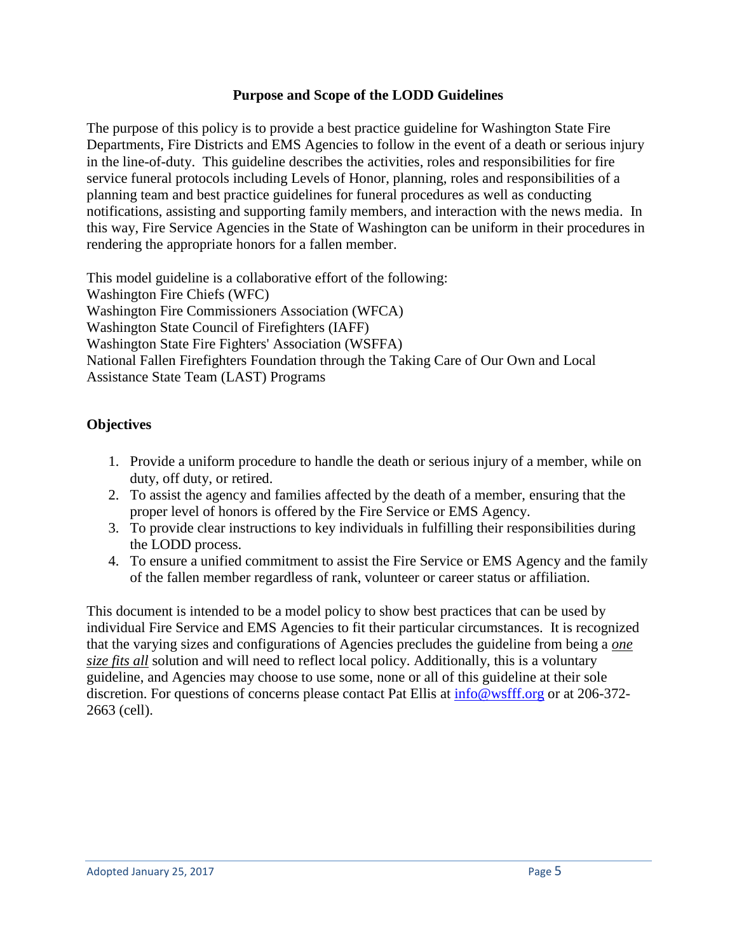#### **Purpose and Scope of the LODD Guidelines**

The purpose of this policy is to provide a best practice guideline for Washington State Fire Departments, Fire Districts and EMS Agencies to follow in the event of a death or serious injury in the line-of-duty. This guideline describes the activities, roles and responsibilities for fire service funeral protocols including Levels of Honor, planning, roles and responsibilities of a planning team and best practice guidelines for funeral procedures as well as conducting notifications, assisting and supporting family members, and interaction with the news media. In this way, Fire Service Agencies in the State of Washington can be uniform in their procedures in rendering the appropriate honors for a fallen member.

This model guideline is a collaborative effort of the following: Washington Fire Chiefs (WFC) Washington Fire Commissioners Association (WFCA) Washington State Council of Firefighters (IAFF) Washington State Fire Fighters' Association (WSFFA) National Fallen Firefighters Foundation through the Taking Care of Our Own and Local Assistance State Team (LAST) Programs

## **Objectives**

- 1. Provide a uniform procedure to handle the death or serious injury of a member, while on duty, off duty, or retired.
- 2. To assist the agency and families affected by the death of a member, ensuring that the proper level of honors is offered by the Fire Service or EMS Agency.
- 3. To provide clear instructions to key individuals in fulfilling their responsibilities during the LODD process.
- 4. To ensure a unified commitment to assist the Fire Service or EMS Agency and the family of the fallen member regardless of rank, volunteer or career status or affiliation.

This document is intended to be a model policy to show best practices that can be used by individual Fire Service and EMS Agencies to fit their particular circumstances. It is recognized that the varying sizes and configurations of Agencies precludes the guideline from being a *one size fits all* solution and will need to reflect local policy. Additionally, this is a voluntary guideline, and Agencies may choose to use some, none or all of this guideline at their sole discretion. For questions of concerns please contact Pat Ellis at  $\frac{info@wstff.org}{info@wstff.org}$  or at 206-372-2663 (cell).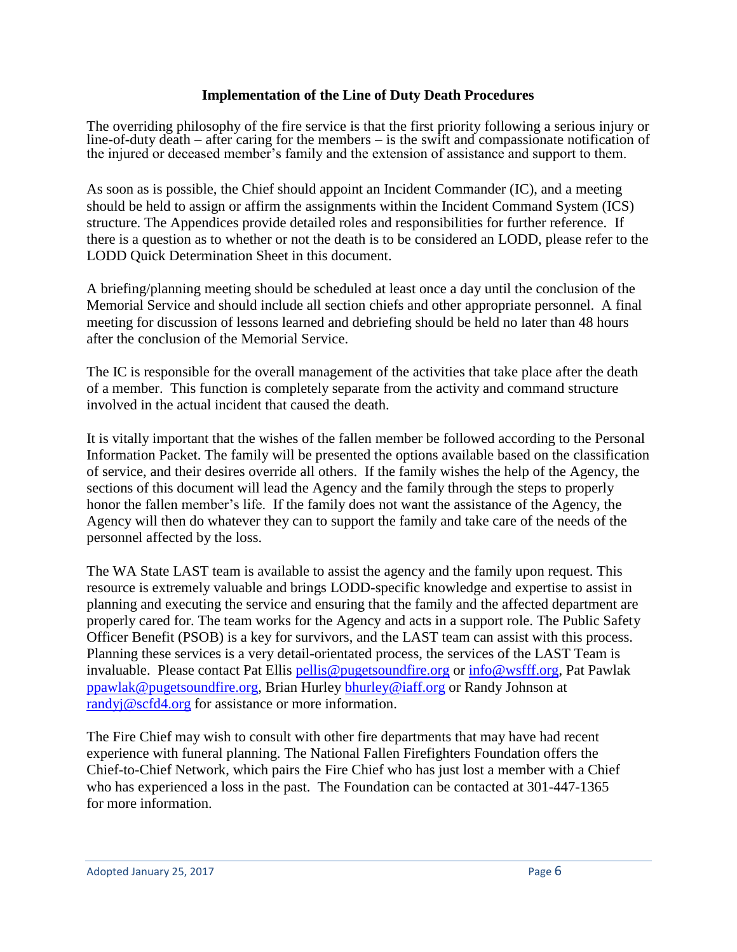#### **Implementation of the Line of Duty Death Procedures**

The overriding philosophy of the fire service is that the first priority following a serious injury or line-of-duty death – after caring for the members – is the swift and compassionate notification of the injured or deceased member's family and the extension of assistance and support to them.

As soon as is possible, the Chief should appoint an Incident Commander (IC), and a meeting should be held to assign or affirm the assignments within the Incident Command System (ICS) structure. The Appendices provide detailed roles and responsibilities for further reference. If there is a question as to whether or not the death is to be considered an LODD, please refer to the LODD Quick Determination Sheet in this document.

A briefing/planning meeting should be scheduled at least once a day until the conclusion of the Memorial Service and should include all section chiefs and other appropriate personnel. A final meeting for discussion of lessons learned and debriefing should be held no later than 48 hours after the conclusion of the Memorial Service.

The IC is responsible for the overall management of the activities that take place after the death of a member. This function is completely separate from the activity and command structure involved in the actual incident that caused the death.

It is vitally important that the wishes of the fallen member be followed according to the Personal Information Packet. The family will be presented the options available based on the classification of service, and their desires override all others. If the family wishes the help of the Agency, the sections of this document will lead the Agency and the family through the steps to properly honor the fallen member's life. If the family does not want the assistance of the Agency, the Agency will then do whatever they can to support the family and take care of the needs of the personnel affected by the loss.

The WA State LAST team is available to assist the agency and the family upon request. This resource is extremely valuable and brings LODD-specific knowledge and expertise to assist in planning and executing the service and ensuring that the family and the affected department are properly cared for. The team works for the Agency and acts in a support role. The Public Safety Officer Benefit (PSOB) is a key for survivors, and the LAST team can assist with this process. Planning these services is a very detail-orientated process, the services of the LAST Team is invaluable. Please contact Pat Ellis [pellis@pugetsoundfire.org](mailto:pellis@pugetsoundfire.org) or [info@wsfff.org,](mailto:info@wsfff.org) Pat Pawlak [ppawlak@pugetsoundfire.org,](mailto:ppawlak@pugetsoundfire.org) Brian Hurley [bhurley@iaff.org](mailto:bhurley@iaff.org) or Randy Johnson at [randyj@scfd4.org](mailto:randyj@scfd4.org) for assistance or more information.

The Fire Chief may wish to consult with other fire departments that may have had recent experience with funeral planning. The National Fallen Firefighters Foundation offers the Chief-to-Chief Network, which pairs the Fire Chief who has just lost a member with a Chief who has experienced a loss in the past. The Foundation can be contacted at 301-447-1365 for more information.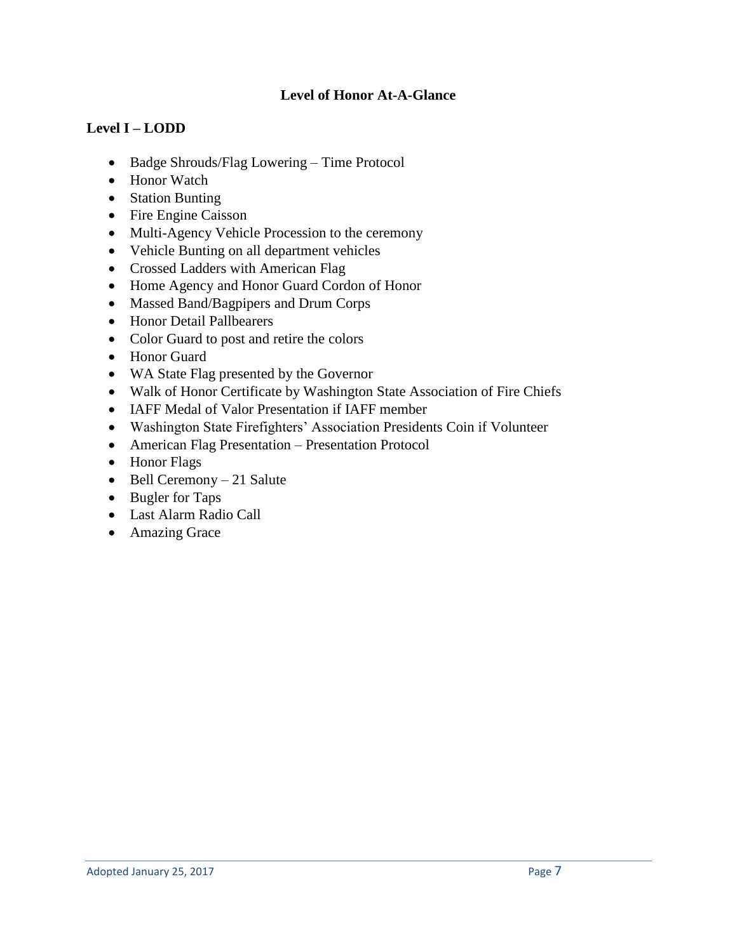## **Level of Honor At-A-Glance**

## **Level I – LODD**

- Badge Shrouds/Flag Lowering Time Protocol
- Honor Watch
- Station Bunting
- Fire Engine Caisson
- Multi-Agency Vehicle Procession to the ceremony
- Vehicle Bunting on all department vehicles
- Crossed Ladders with American Flag
- Home Agency and Honor Guard Cordon of Honor
- Massed Band/Bagpipers and Drum Corps
- Honor Detail Pallbearers
- Color Guard to post and retire the colors
- Honor Guard
- WA State Flag presented by the Governor
- Walk of Honor Certificate by Washington State Association of Fire Chiefs
- IAFF Medal of Valor Presentation if IAFF member
- Washington State Firefighters' Association Presidents Coin if Volunteer
- American Flag Presentation Presentation Protocol
- Honor Flags
- Bell Ceremony 21 Salute
- Bugler for Taps
- Last Alarm Radio Call
- Amazing Grace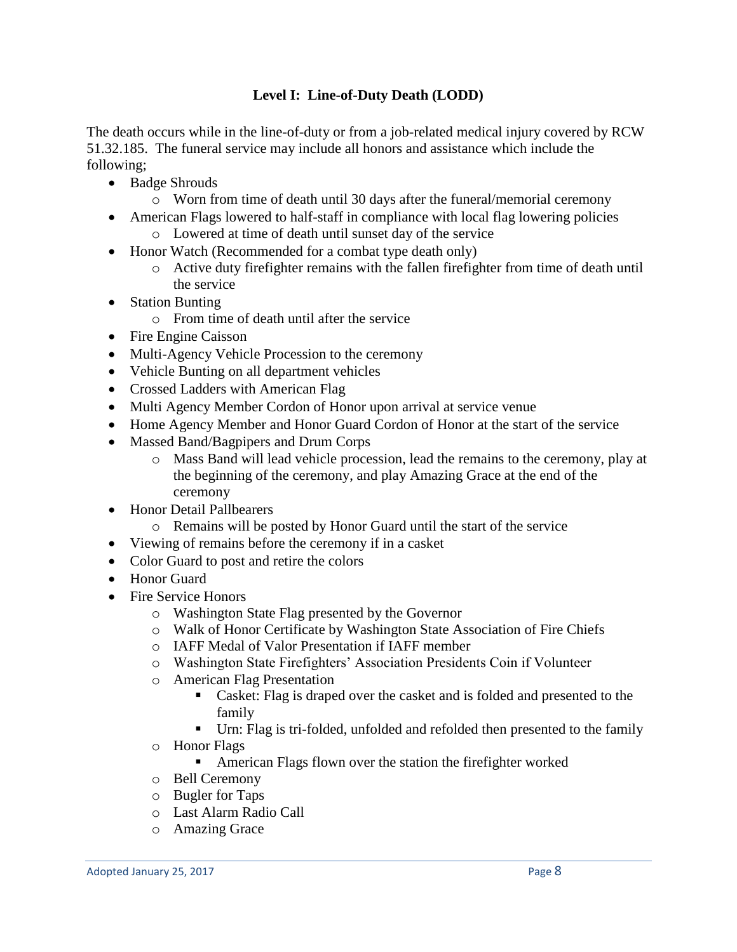# **Level I: Line-of-Duty Death (LODD)**

The death occurs while in the line-of-duty or from a job-related medical injury covered by RCW 51.32.185. The funeral service may include all honors and assistance which include the following;

- Badge Shrouds
	- o Worn from time of death until 30 days after the funeral/memorial ceremony
- American Flags lowered to half-staff in compliance with local flag lowering policies o Lowered at time of death until sunset day of the service
- Honor Watch (Recommended for a combat type death only)
	- o Active duty firefighter remains with the fallen firefighter from time of death until the service
- Station Bunting
	- o From time of death until after the service
- Fire Engine Caisson
- Multi-Agency Vehicle Procession to the ceremony
- Vehicle Bunting on all department vehicles
- Crossed Ladders with American Flag
- Multi Agency Member Cordon of Honor upon arrival at service venue
- Home Agency Member and Honor Guard Cordon of Honor at the start of the service
- Massed Band/Bagpipers and Drum Corps
	- o Mass Band will lead vehicle procession, lead the remains to the ceremony, play at the beginning of the ceremony, and play Amazing Grace at the end of the ceremony
- Honor Detail Pallbearers
	- o Remains will be posted by Honor Guard until the start of the service
- Viewing of remains before the ceremony if in a casket
- Color Guard to post and retire the colors
- Honor Guard
- Fire Service Honors
	- o Washington State Flag presented by the Governor
	- o Walk of Honor Certificate by Washington State Association of Fire Chiefs
	- o IAFF Medal of Valor Presentation if IAFF member
	- o Washington State Firefighters' Association Presidents Coin if Volunteer
	- o American Flag Presentation
		- Casket: Flag is draped over the casket and is folded and presented to the family
		- Urn: Flag is tri-folded, unfolded and refolded then presented to the family
	- o Honor Flags
		- American Flags flown over the station the firefighter worked
	- o Bell Ceremony
	- o Bugler for Taps
	- o Last Alarm Radio Call
	- o Amazing Grace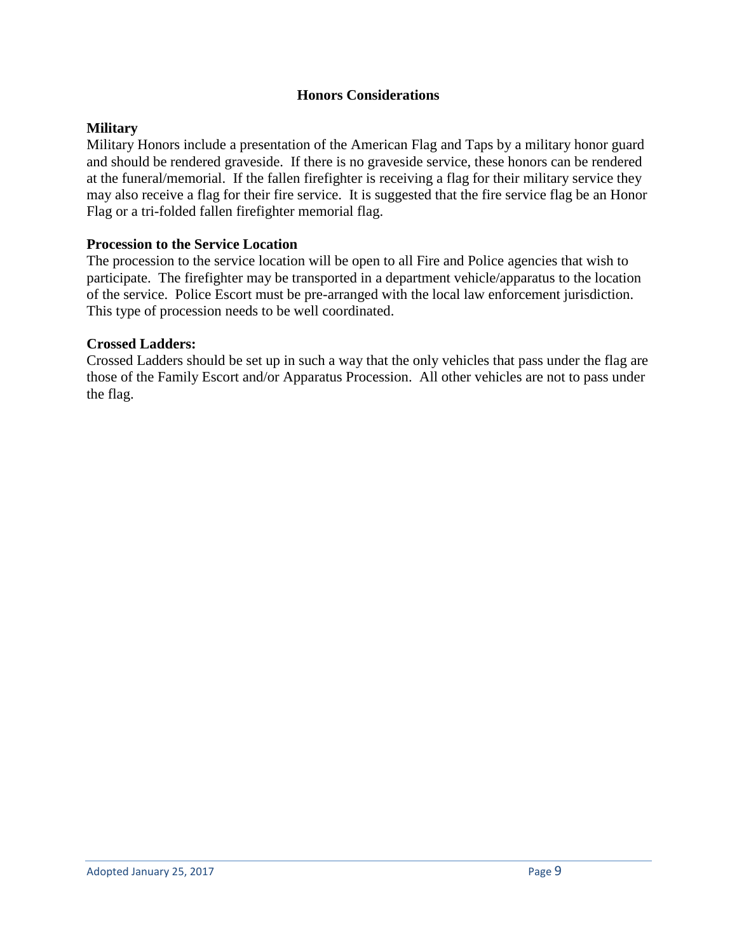#### **Honors Considerations**

## **Military**

Military Honors include a presentation of the American Flag and Taps by a military honor guard and should be rendered graveside. If there is no graveside service, these honors can be rendered at the funeral/memorial. If the fallen firefighter is receiving a flag for their military service they may also receive a flag for their fire service. It is suggested that the fire service flag be an Honor Flag or a tri-folded fallen firefighter memorial flag.

## **Procession to the Service Location**

The procession to the service location will be open to all Fire and Police agencies that wish to participate. The firefighter may be transported in a department vehicle/apparatus to the location of the service. Police Escort must be pre-arranged with the local law enforcement jurisdiction. This type of procession needs to be well coordinated.

#### **Crossed Ladders:**

Crossed Ladders should be set up in such a way that the only vehicles that pass under the flag are those of the Family Escort and/or Apparatus Procession. All other vehicles are not to pass under the flag.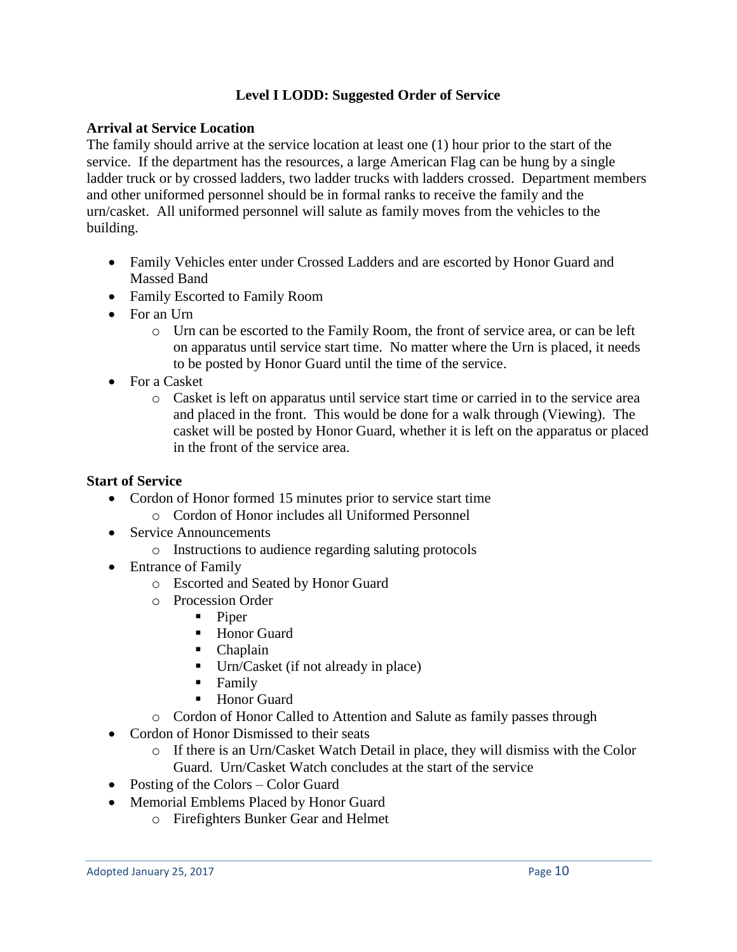# **Level I LODD: Suggested Order of Service**

## **Arrival at Service Location**

The family should arrive at the service location at least one (1) hour prior to the start of the service. If the department has the resources, a large American Flag can be hung by a single ladder truck or by crossed ladders, two ladder trucks with ladders crossed. Department members and other uniformed personnel should be in formal ranks to receive the family and the urn/casket. All uniformed personnel will salute as family moves from the vehicles to the building.

- Family Vehicles enter under Crossed Ladders and are escorted by Honor Guard and Massed Band
- Family Escorted to Family Room
- For an Urn
	- o Urn can be escorted to the Family Room, the front of service area, or can be left on apparatus until service start time. No matter where the Urn is placed, it needs to be posted by Honor Guard until the time of the service.
- For a Casket
	- o Casket is left on apparatus until service start time or carried in to the service area and placed in the front. This would be done for a walk through (Viewing). The casket will be posted by Honor Guard, whether it is left on the apparatus or placed in the front of the service area.

#### **Start of Service**

- Cordon of Honor formed 15 minutes prior to service start time
	- o Cordon of Honor includes all Uniformed Personnel
- Service Announcements
	- o Instructions to audience regarding saluting protocols
- Entrance of Family
	- o Escorted and Seated by Honor Guard
	- o Procession Order
		- Piper
		- Honor Guard
		- Chaplain
		- Urn/Casket (if not already in place)
		- Family
		- Honor Guard
	- o Cordon of Honor Called to Attention and Salute as family passes through
- Cordon of Honor Dismissed to their seats
	- $\circ$  If there is an Urn/Casket Watch Detail in place, they will dismiss with the Color Guard. Urn/Casket Watch concludes at the start of the service
- Posting of the Colors Color Guard
- Memorial Emblems Placed by Honor Guard
	- o Firefighters Bunker Gear and Helmet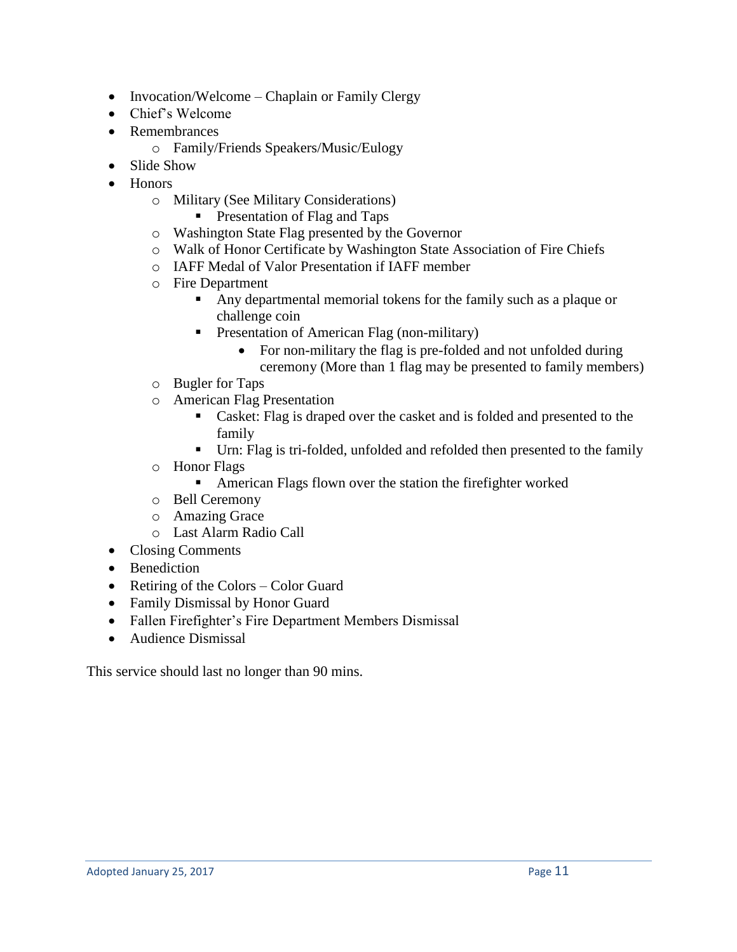- Invocation/Welcome Chaplain or Family Clergy
- Chief's Welcome
- Remembrances
	- o Family/Friends Speakers/Music/Eulogy
- Slide Show
- Honors
	- o Military (See Military Considerations)

**•** Presentation of Flag and Taps

- o Washington State Flag presented by the Governor
- o Walk of Honor Certificate by Washington State Association of Fire Chiefs
- o IAFF Medal of Valor Presentation if IAFF member
- o Fire Department
	- Any departmental memorial tokens for the family such as a plaque or challenge coin
	- **•** Presentation of American Flag (non-military)
		- For non-military the flag is pre-folded and not unfolded during ceremony (More than 1 flag may be presented to family members)
- o Bugler for Taps
- o American Flag Presentation
	- Casket: Flag is draped over the casket and is folded and presented to the family
	- Urn: Flag is tri-folded, unfolded and refolded then presented to the family
- o Honor Flags
	- American Flags flown over the station the firefighter worked
- o Bell Ceremony
- o Amazing Grace
- o Last Alarm Radio Call
- Closing Comments
- Benediction
- Retiring of the Colors Color Guard
- Family Dismissal by Honor Guard
- Fallen Firefighter's Fire Department Members Dismissal
- Audience Dismissal

This service should last no longer than 90 mins.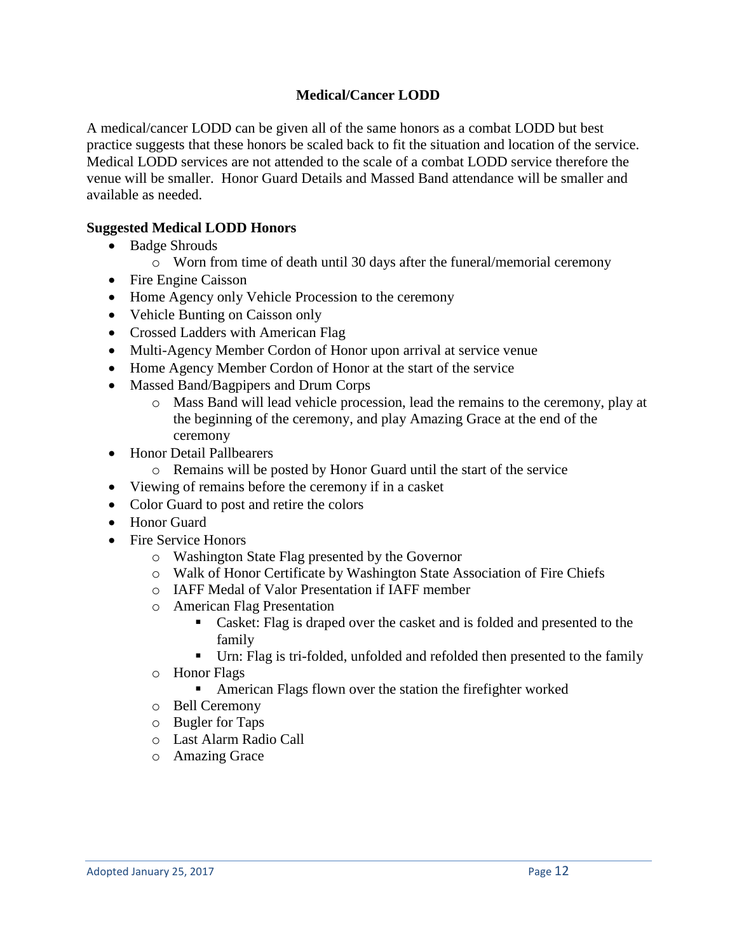# **Medical/Cancer LODD**

A medical/cancer LODD can be given all of the same honors as a combat LODD but best practice suggests that these honors be scaled back to fit the situation and location of the service. Medical LODD services are not attended to the scale of a combat LODD service therefore the venue will be smaller. Honor Guard Details and Massed Band attendance will be smaller and available as needed.

#### **Suggested Medical LODD Honors**

- Badge Shrouds
	- o Worn from time of death until 30 days after the funeral/memorial ceremony
- Fire Engine Caisson
- Home Agency only Vehicle Procession to the ceremony
- Vehicle Bunting on Caisson only
- Crossed Ladders with American Flag
- Multi-Agency Member Cordon of Honor upon arrival at service venue
- Home Agency Member Cordon of Honor at the start of the service
- Massed Band/Bagpipers and Drum Corps
	- o Mass Band will lead vehicle procession, lead the remains to the ceremony, play at the beginning of the ceremony, and play Amazing Grace at the end of the ceremony
- Honor Detail Pallbearers
	- o Remains will be posted by Honor Guard until the start of the service
- Viewing of remains before the ceremony if in a casket
- Color Guard to post and retire the colors
- Honor Guard
- Fire Service Honors
	- o Washington State Flag presented by the Governor
	- o Walk of Honor Certificate by Washington State Association of Fire Chiefs
	- o IAFF Medal of Valor Presentation if IAFF member
	- o American Flag Presentation
		- Casket: Flag is draped over the casket and is folded and presented to the family
		- Urn: Flag is tri-folded, unfolded and refolded then presented to the family
	- o Honor Flags
		- American Flags flown over the station the firefighter worked
	- o Bell Ceremony
	- o Bugler for Taps
	- o Last Alarm Radio Call
	- o Amazing Grace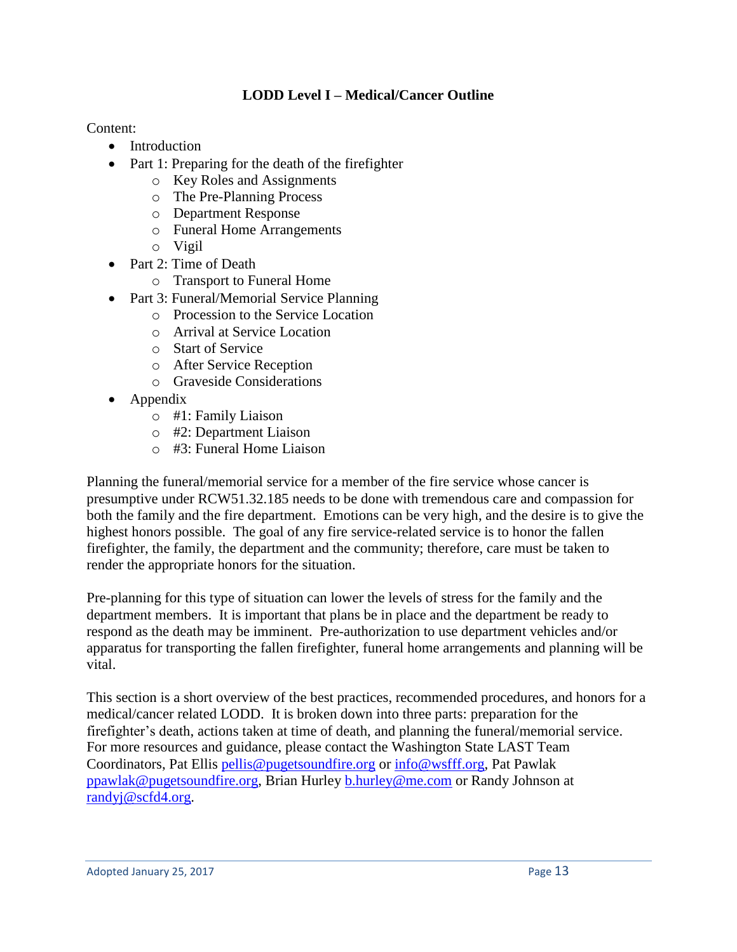# **LODD Level I – Medical/Cancer Outline**

Content:

- Introduction
- Part 1: Preparing for the death of the firefighter
	- o Key Roles and Assignments
	- o The Pre-Planning Process
	- o Department Response
	- o Funeral Home Arrangements
	- o Vigil
- Part 2: Time of Death
	- o Transport to Funeral Home
- Part 3: Funeral/Memorial Service Planning
	- o Procession to the Service Location
	- o Arrival at Service Location
	- o Start of Service
	- o After Service Reception
	- o Graveside Considerations
- Appendix
	- o #1: Family Liaison
	- o #2: Department Liaison
	- o #3: Funeral Home Liaison

Planning the funeral/memorial service for a member of the fire service whose cancer is presumptive under RCW51.32.185 needs to be done with tremendous care and compassion for both the family and the fire department. Emotions can be very high, and the desire is to give the highest honors possible. The goal of any fire service-related service is to honor the fallen firefighter, the family, the department and the community; therefore, care must be taken to render the appropriate honors for the situation.

Pre-planning for this type of situation can lower the levels of stress for the family and the department members. It is important that plans be in place and the department be ready to respond as the death may be imminent. Pre-authorization to use department vehicles and/or apparatus for transporting the fallen firefighter, funeral home arrangements and planning will be vital.

This section is a short overview of the best practices, recommended procedures, and honors for a medical/cancer related LODD. It is broken down into three parts: preparation for the firefighter's death, actions taken at time of death, and planning the funeral/memorial service. For more resources and guidance, please contact the Washington State LAST Team Coordinators, Pat Ellis [pellis@pugetsoundfire.org](mailto:pellis@pugetsoundfire.org) or [info@wsfff.org,](mailto:info@wsfff.org) Pat Pawlak [ppawlak@pugetsoundfire.org,](mailto:ppawlak@pugetsoundfire.org) Brian Hurley [b.hurley@me.com](mailto:b.hurley@me.com) or Randy Johnson at [randyj@scfd4.org.](mailto:randyj@scfd4.org)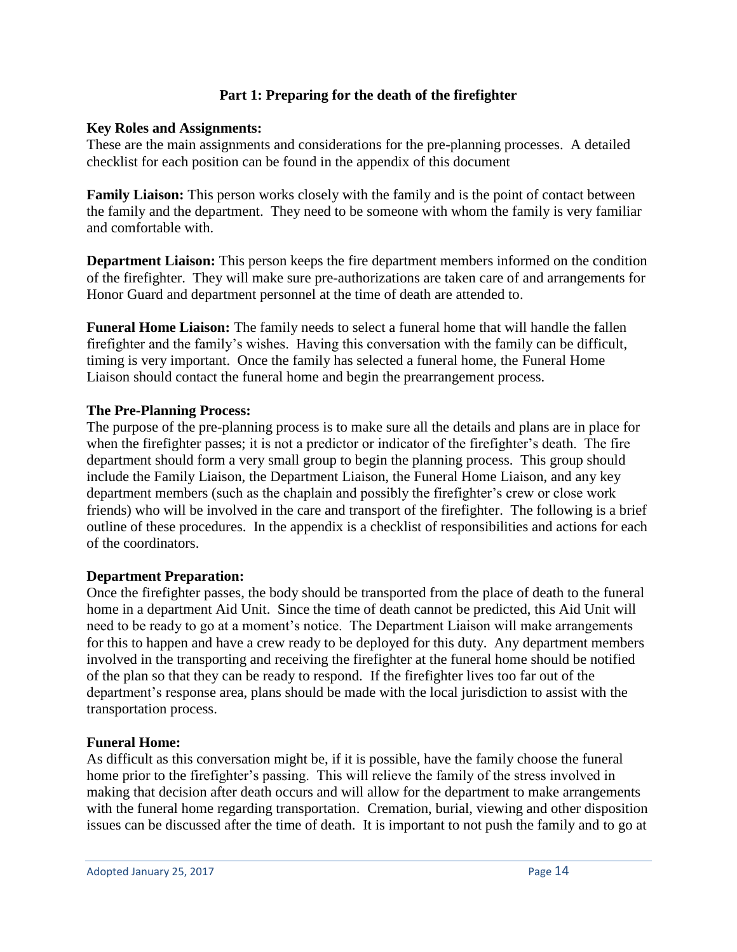## **Part 1: Preparing for the death of the firefighter**

#### **Key Roles and Assignments:**

These are the main assignments and considerations for the pre-planning processes. A detailed checklist for each position can be found in the appendix of this document

**Family Liaison:** This person works closely with the family and is the point of contact between the family and the department. They need to be someone with whom the family is very familiar and comfortable with.

**Department Liaison:** This person keeps the fire department members informed on the condition of the firefighter. They will make sure pre-authorizations are taken care of and arrangements for Honor Guard and department personnel at the time of death are attended to.

**Funeral Home Liaison:** The family needs to select a funeral home that will handle the fallen firefighter and the family's wishes. Having this conversation with the family can be difficult, timing is very important. Once the family has selected a funeral home, the Funeral Home Liaison should contact the funeral home and begin the prearrangement process.

#### **The Pre-Planning Process:**

The purpose of the pre-planning process is to make sure all the details and plans are in place for when the firefighter passes; it is not a predictor or indicator of the firefighter's death. The fire department should form a very small group to begin the planning process. This group should include the Family Liaison, the Department Liaison, the Funeral Home Liaison, and any key department members (such as the chaplain and possibly the firefighter's crew or close work friends) who will be involved in the care and transport of the firefighter. The following is a brief outline of these procedures. In the appendix is a checklist of responsibilities and actions for each of the coordinators.

#### **Department Preparation:**

Once the firefighter passes, the body should be transported from the place of death to the funeral home in a department Aid Unit. Since the time of death cannot be predicted, this Aid Unit will need to be ready to go at a moment's notice. The Department Liaison will make arrangements for this to happen and have a crew ready to be deployed for this duty. Any department members involved in the transporting and receiving the firefighter at the funeral home should be notified of the plan so that they can be ready to respond. If the firefighter lives too far out of the department's response area, plans should be made with the local jurisdiction to assist with the transportation process.

#### **Funeral Home:**

As difficult as this conversation might be, if it is possible, have the family choose the funeral home prior to the firefighter's passing. This will relieve the family of the stress involved in making that decision after death occurs and will allow for the department to make arrangements with the funeral home regarding transportation. Cremation, burial, viewing and other disposition issues can be discussed after the time of death. It is important to not push the family and to go at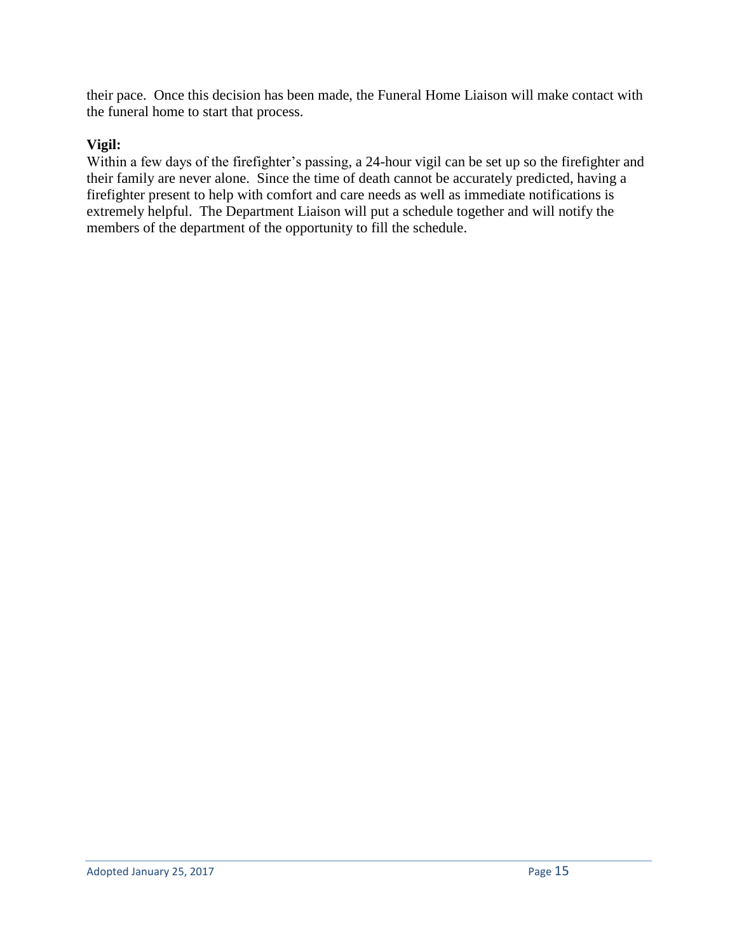their pace. Once this decision has been made, the Funeral Home Liaison will make contact with the funeral home to start that process.

## **Vigil:**

Within a few days of the firefighter's passing, a 24-hour vigil can be set up so the firefighter and their family are never alone. Since the time of death cannot be accurately predicted, having a firefighter present to help with comfort and care needs as well as immediate notifications is extremely helpful. The Department Liaison will put a schedule together and will notify the members of the department of the opportunity to fill the schedule.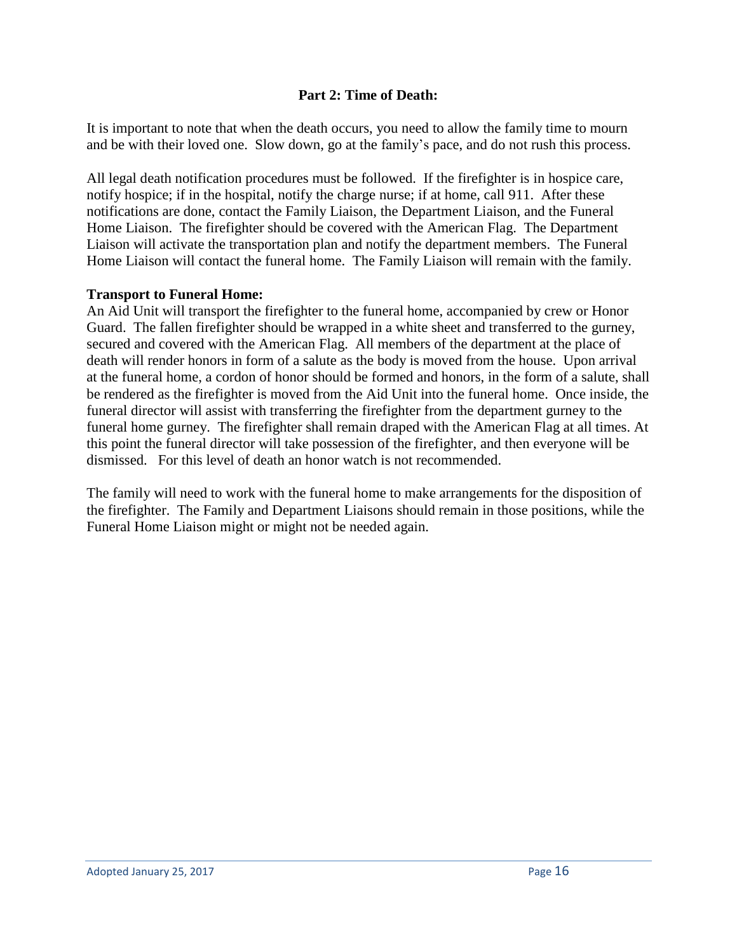## **Part 2: Time of Death:**

It is important to note that when the death occurs, you need to allow the family time to mourn and be with their loved one. Slow down, go at the family's pace, and do not rush this process.

All legal death notification procedures must be followed. If the firefighter is in hospice care, notify hospice; if in the hospital, notify the charge nurse; if at home, call 911. After these notifications are done, contact the Family Liaison, the Department Liaison, and the Funeral Home Liaison. The firefighter should be covered with the American Flag. The Department Liaison will activate the transportation plan and notify the department members. The Funeral Home Liaison will contact the funeral home. The Family Liaison will remain with the family.

#### **Transport to Funeral Home:**

An Aid Unit will transport the firefighter to the funeral home, accompanied by crew or Honor Guard. The fallen firefighter should be wrapped in a white sheet and transferred to the gurney, secured and covered with the American Flag. All members of the department at the place of death will render honors in form of a salute as the body is moved from the house. Upon arrival at the funeral home, a cordon of honor should be formed and honors, in the form of a salute, shall be rendered as the firefighter is moved from the Aid Unit into the funeral home. Once inside, the funeral director will assist with transferring the firefighter from the department gurney to the funeral home gurney. The firefighter shall remain draped with the American Flag at all times. At this point the funeral director will take possession of the firefighter, and then everyone will be dismissed. For this level of death an honor watch is not recommended.

The family will need to work with the funeral home to make arrangements for the disposition of the firefighter. The Family and Department Liaisons should remain in those positions, while the Funeral Home Liaison might or might not be needed again.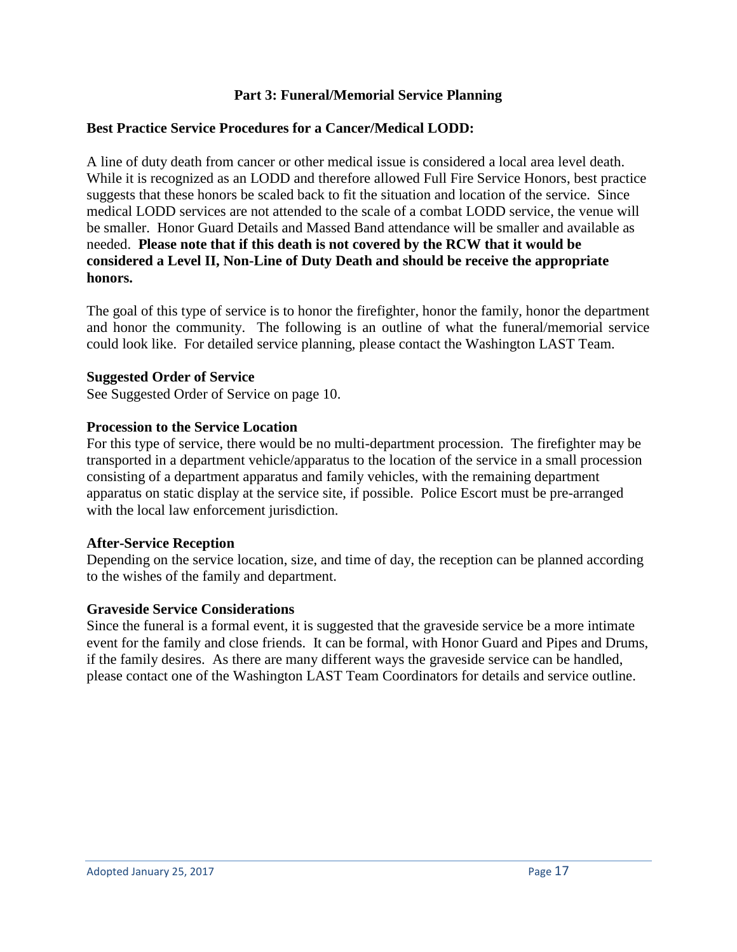#### **Part 3: Funeral/Memorial Service Planning**

#### **Best Practice Service Procedures for a Cancer/Medical LODD:**

A line of duty death from cancer or other medical issue is considered a local area level death. While it is recognized as an LODD and therefore allowed Full Fire Service Honors, best practice suggests that these honors be scaled back to fit the situation and location of the service. Since medical LODD services are not attended to the scale of a combat LODD service, the venue will be smaller. Honor Guard Details and Massed Band attendance will be smaller and available as needed. **Please note that if this death is not covered by the RCW that it would be considered a Level II, Non-Line of Duty Death and should be receive the appropriate honors.** 

The goal of this type of service is to honor the firefighter, honor the family, honor the department and honor the community. The following is an outline of what the funeral/memorial service could look like. For detailed service planning, please contact the Washington LAST Team.

#### **Suggested Order of Service**

See Suggested Order of Service on page 10.

#### **Procession to the Service Location**

For this type of service, there would be no multi-department procession. The firefighter may be transported in a department vehicle/apparatus to the location of the service in a small procession consisting of a department apparatus and family vehicles, with the remaining department apparatus on static display at the service site, if possible. Police Escort must be pre-arranged with the local law enforcement jurisdiction.

#### **After-Service Reception**

Depending on the service location, size, and time of day, the reception can be planned according to the wishes of the family and department.

#### **Graveside Service Considerations**

Since the funeral is a formal event, it is suggested that the graveside service be a more intimate event for the family and close friends. It can be formal, with Honor Guard and Pipes and Drums, if the family desires. As there are many different ways the graveside service can be handled, please contact one of the Washington LAST Team Coordinators for details and service outline.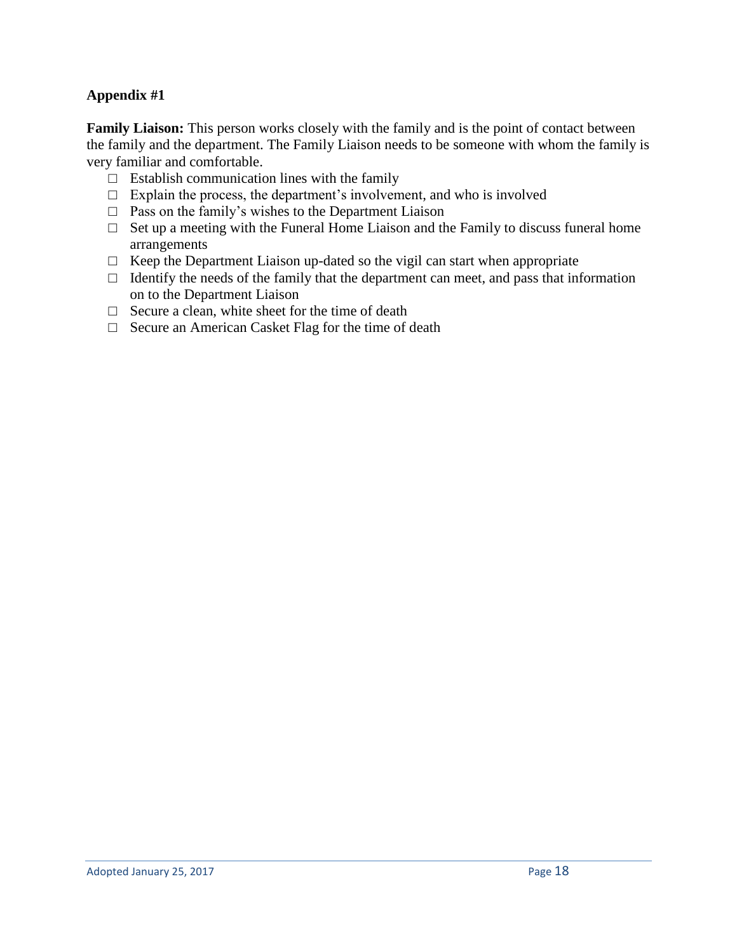# **Appendix #1**

**Family Liaison:** This person works closely with the family and is the point of contact between the family and the department. The Family Liaison needs to be someone with whom the family is very familiar and comfortable.

- $\Box$  Establish communication lines with the family
- $\Box$  Explain the process, the department's involvement, and who is involved
- $\Box$  Pass on the family's wishes to the Department Liaison
- $\Box$  Set up a meeting with the Funeral Home Liaison and the Family to discuss funeral home arrangements
- $\Box$  Keep the Department Liaison up-dated so the vigil can start when appropriate
- $\Box$  Identify the needs of the family that the department can meet, and pass that information on to the Department Liaison
- $\Box$  Secure a clean, white sheet for the time of death
- □ Secure an American Casket Flag for the time of death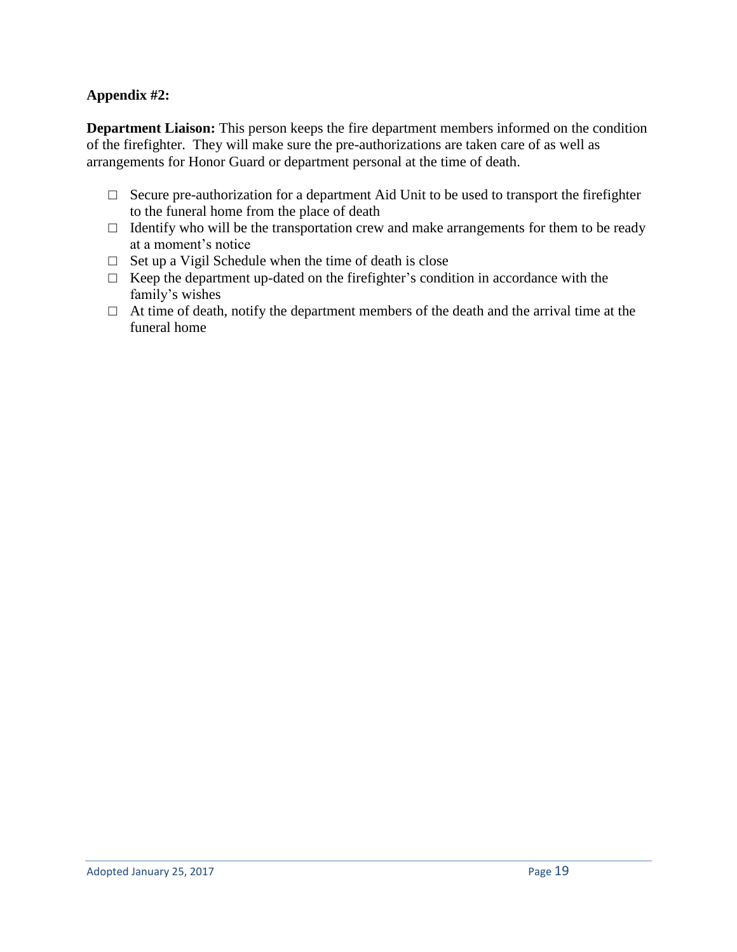## **Appendix #2:**

**Department Liaison:** This person keeps the fire department members informed on the condition of the firefighter. They will make sure the pre-authorizations are taken care of as well as arrangements for Honor Guard or department personal at the time of death.

- $\Box$  Secure pre-authorization for a department Aid Unit to be used to transport the firefighter to the funeral home from the place of death
- $\Box$  Identify who will be the transportation crew and make arrangements for them to be ready at a moment's notice
- $\Box$  Set up a Vigil Schedule when the time of death is close
- $\Box$  Keep the department up-dated on the firefighter's condition in accordance with the family's wishes
- $\Box$  At time of death, notify the department members of the death and the arrival time at the funeral home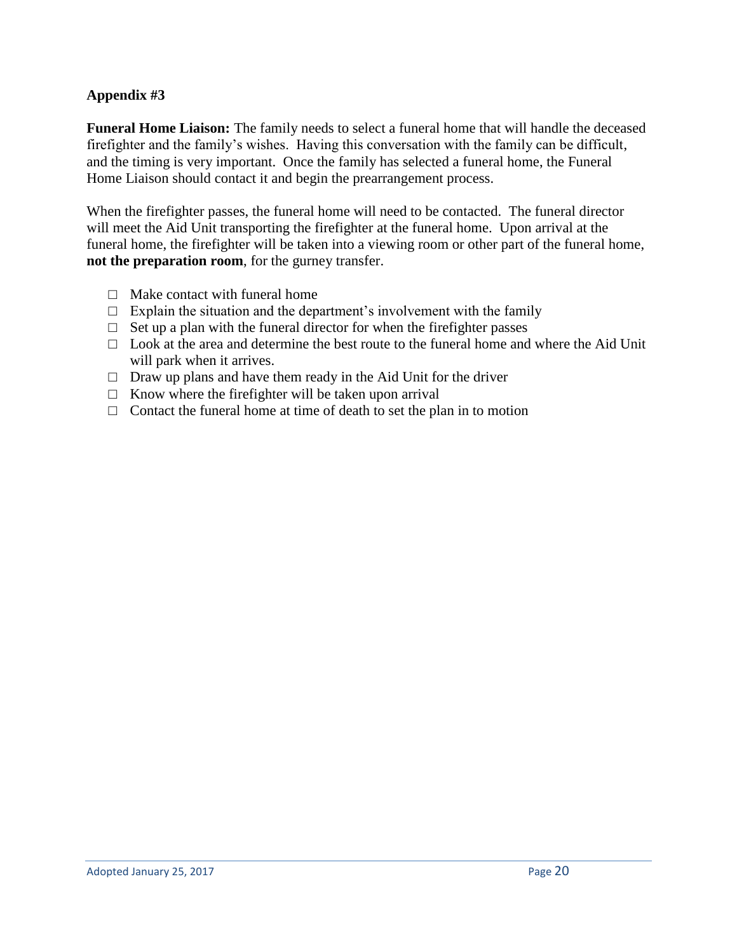## **Appendix #3**

**Funeral Home Liaison:** The family needs to select a funeral home that will handle the deceased firefighter and the family's wishes. Having this conversation with the family can be difficult, and the timing is very important. Once the family has selected a funeral home, the Funeral Home Liaison should contact it and begin the prearrangement process.

When the firefighter passes, the funeral home will need to be contacted. The funeral director will meet the Aid Unit transporting the firefighter at the funeral home. Upon arrival at the funeral home, the firefighter will be taken into a viewing room or other part of the funeral home, **not the preparation room**, for the gurney transfer.

- $\Box$  Make contact with funeral home
- $\Box$  Explain the situation and the department's involvement with the family
- $\Box$  Set up a plan with the funeral director for when the firefighter passes
- $\Box$  Look at the area and determine the best route to the funeral home and where the Aid Unit will park when it arrives.
- $\Box$  Draw up plans and have them ready in the Aid Unit for the driver
- $\Box$  Know where the firefighter will be taken upon arrival
- $\Box$  Contact the funeral home at time of death to set the plan in to motion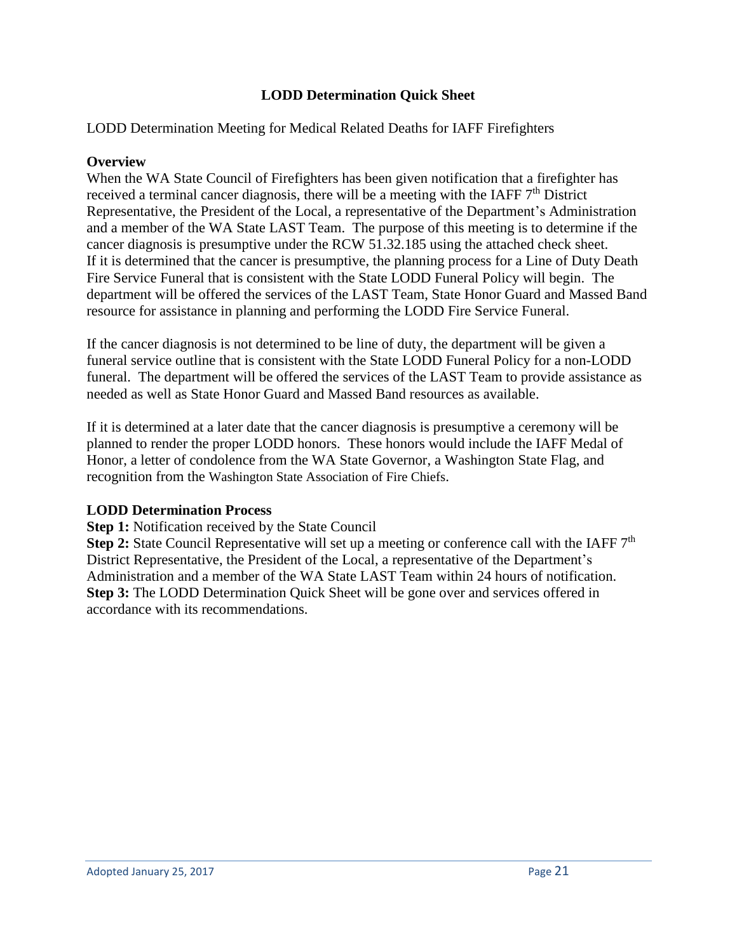## **LODD Determination Quick Sheet**

## LODD Determination Meeting for Medical Related Deaths for IAFF Firefighters

#### **Overview**

When the WA State Council of Firefighters has been given notification that a firefighter has received a terminal cancer diagnosis, there will be a meeting with the IAFF  $7<sup>th</sup>$  District Representative, the President of the Local, a representative of the Department's Administration and a member of the WA State LAST Team. The purpose of this meeting is to determine if the cancer diagnosis is presumptive under the RCW 51.32.185 using the attached check sheet. If it is determined that the cancer is presumptive, the planning process for a Line of Duty Death Fire Service Funeral that is consistent with the State LODD Funeral Policy will begin. The department will be offered the services of the LAST Team, State Honor Guard and Massed Band resource for assistance in planning and performing the LODD Fire Service Funeral.

If the cancer diagnosis is not determined to be line of duty, the department will be given a funeral service outline that is consistent with the State LODD Funeral Policy for a non-LODD funeral. The department will be offered the services of the LAST Team to provide assistance as needed as well as State Honor Guard and Massed Band resources as available.

If it is determined at a later date that the cancer diagnosis is presumptive a ceremony will be planned to render the proper LODD honors. These honors would include the IAFF Medal of Honor, a letter of condolence from the WA State Governor, a Washington State Flag, and recognition from the Washington State Association of Fire Chiefs.

#### **LODD Determination Process**

**Step 1:** Notification received by the State Council

**Step 2:** State Council Representative will set up a meeting or conference call with the IAFF 7<sup>th</sup> District Representative, the President of the Local, a representative of the Department's Administration and a member of the WA State LAST Team within 24 hours of notification. **Step 3:** The LODD Determination Quick Sheet will be gone over and services offered in accordance with its recommendations.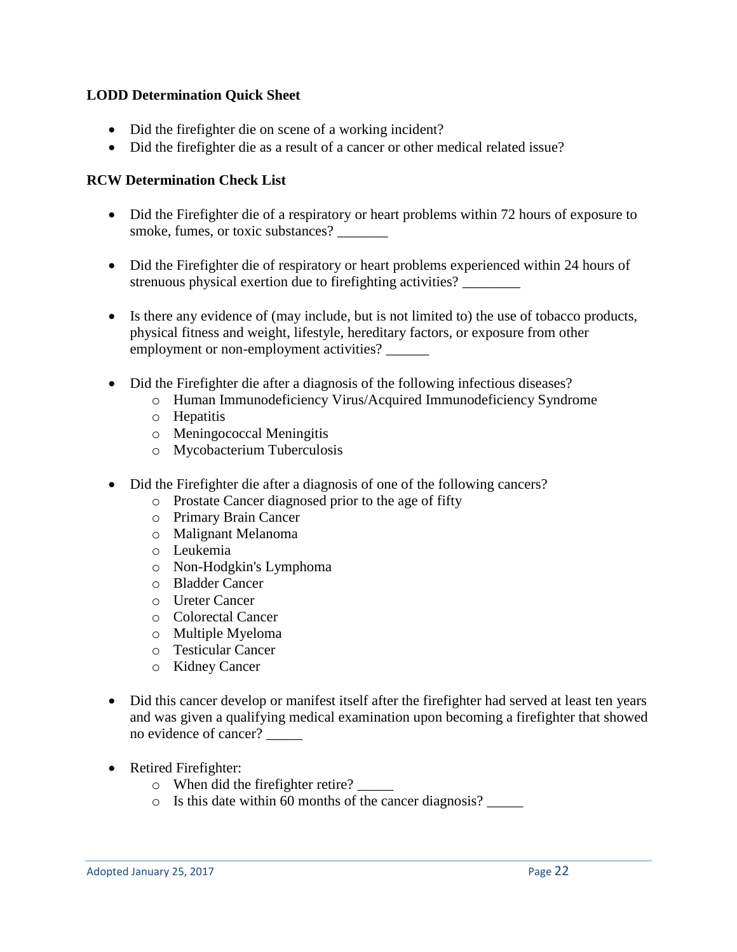## **LODD Determination Quick Sheet**

- Did the firefighter die on scene of a working incident?
- Did the firefighter die as a result of a cancer or other medical related issue?

## **RCW Determination Check List**

- Did the Firefighter die of a respiratory or heart problems within 72 hours of exposure to smoke, fumes, or toxic substances?
- Did the Firefighter die of respiratory or heart problems experienced within 24 hours of strenuous physical exertion due to firefighting activities? \_\_\_\_\_\_\_\_
- Is there any evidence of (may include, but is not limited to) the use of tobacco products, physical fitness and weight, lifestyle, hereditary factors, or exposure from other employment or non-employment activities? \_\_\_\_\_\_
- Did the Firefighter die after a diagnosis of the following infectious diseases?
	- o Human Immunodeficiency Virus/Acquired Immunodeficiency Syndrome
	- o Hepatitis
	- o Meningococcal Meningitis
	- o Mycobacterium Tuberculosis
- Did the Firefighter die after a diagnosis of one of the following cancers?
	- o Prostate Cancer diagnosed prior to the age of fifty
	- o Primary Brain Cancer
	- o Malignant Melanoma
	- o Leukemia
	- o Non-Hodgkin's Lymphoma
	- o Bladder Cancer
	- o Ureter Cancer
	- o Colorectal Cancer
	- o Multiple Myeloma
	- o Testicular Cancer
	- o Kidney Cancer
- Did this cancer develop or manifest itself after the firefighter had served at least ten years and was given a qualifying medical examination upon becoming a firefighter that showed no evidence of cancer? \_\_\_\_\_
- Retired Firefighter:
	- o When did the firefighter retire? \_\_\_\_\_
	- o Is this date within 60 months of the cancer diagnosis? \_\_\_\_\_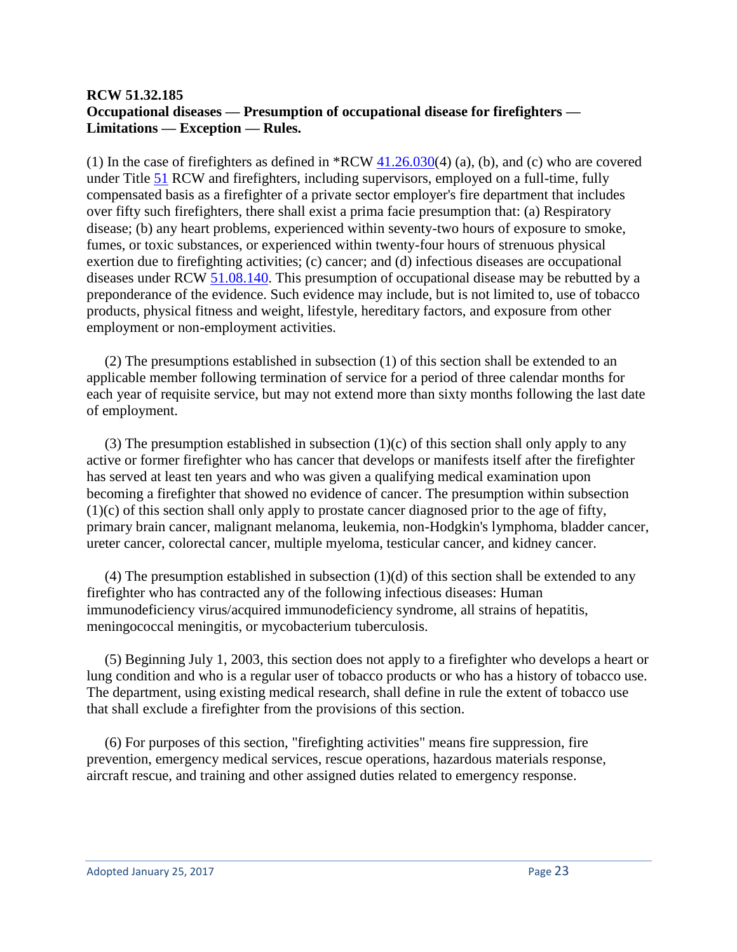## **RCW 51.32.185 Occupational diseases — Presumption of occupational disease for firefighters — Limitations — Exception — Rules.**

(1) In the case of firefighters as defined in  $RCW$   $41.26.030(4)$  (a), (b), and (c) who are covered under Title [51](http://apps.leg.wa.gov/rcw/default.aspx?cite=51) RCW and firefighters, including supervisors, employed on a full-time, fully compensated basis as a firefighter of a private sector employer's fire department that includes over fifty such firefighters, there shall exist a prima facie presumption that: (a) Respiratory disease; (b) any heart problems, experienced within seventy-two hours of exposure to smoke, fumes, or toxic substances, or experienced within twenty-four hours of strenuous physical exertion due to firefighting activities; (c) cancer; and (d) infectious diseases are occupational diseases under RCW [51.08.140.](http://apps.leg.wa.gov/rcw/default.aspx?cite=51.08.140) This presumption of occupational disease may be rebutted by a preponderance of the evidence. Such evidence may include, but is not limited to, use of tobacco products, physical fitness and weight, lifestyle, hereditary factors, and exposure from other employment or non-employment activities.

 (2) The presumptions established in subsection (1) of this section shall be extended to an applicable member following termination of service for a period of three calendar months for each year of requisite service, but may not extend more than sixty months following the last date of employment.

(3) The presumption established in subsection  $(1)(c)$  of this section shall only apply to any active or former firefighter who has cancer that develops or manifests itself after the firefighter has served at least ten years and who was given a qualifying medical examination upon becoming a firefighter that showed no evidence of cancer. The presumption within subsection (1)(c) of this section shall only apply to prostate cancer diagnosed prior to the age of fifty, primary brain cancer, malignant melanoma, leukemia, non-Hodgkin's lymphoma, bladder cancer, ureter cancer, colorectal cancer, multiple myeloma, testicular cancer, and kidney cancer.

(4) The presumption established in subsection  $(1)(d)$  of this section shall be extended to any firefighter who has contracted any of the following infectious diseases: Human immunodeficiency virus/acquired immunodeficiency syndrome, all strains of hepatitis, meningococcal meningitis, or mycobacterium tuberculosis.

 (5) Beginning July 1, 2003, this section does not apply to a firefighter who develops a heart or lung condition and who is a regular user of tobacco products or who has a history of tobacco use. The department, using existing medical research, shall define in rule the extent of tobacco use that shall exclude a firefighter from the provisions of this section.

 (6) For purposes of this section, "firefighting activities" means fire suppression, fire prevention, emergency medical services, rescue operations, hazardous materials response, aircraft rescue, and training and other assigned duties related to emergency response.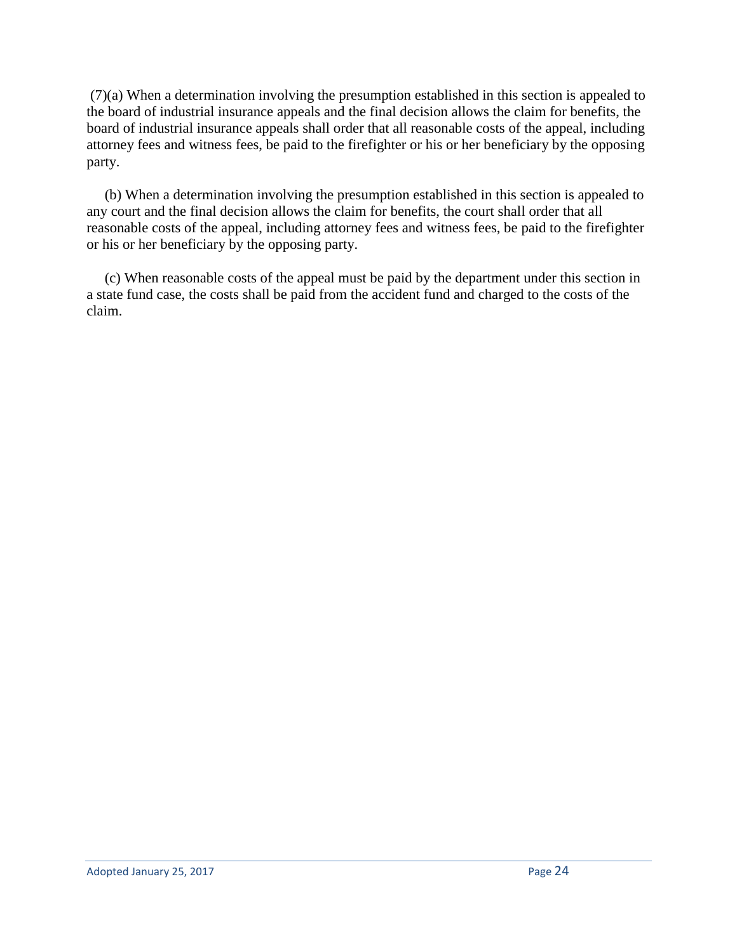(7)(a) When a determination involving the presumption established in this section is appealed to the board of industrial insurance appeals and the final decision allows the claim for benefits, the board of industrial insurance appeals shall order that all reasonable costs of the appeal, including attorney fees and witness fees, be paid to the firefighter or his or her beneficiary by the opposing party.

 (b) When a determination involving the presumption established in this section is appealed to any court and the final decision allows the claim for benefits, the court shall order that all reasonable costs of the appeal, including attorney fees and witness fees, be paid to the firefighter or his or her beneficiary by the opposing party.

 (c) When reasonable costs of the appeal must be paid by the department under this section in a state fund case, the costs shall be paid from the accident fund and charged to the costs of the claim.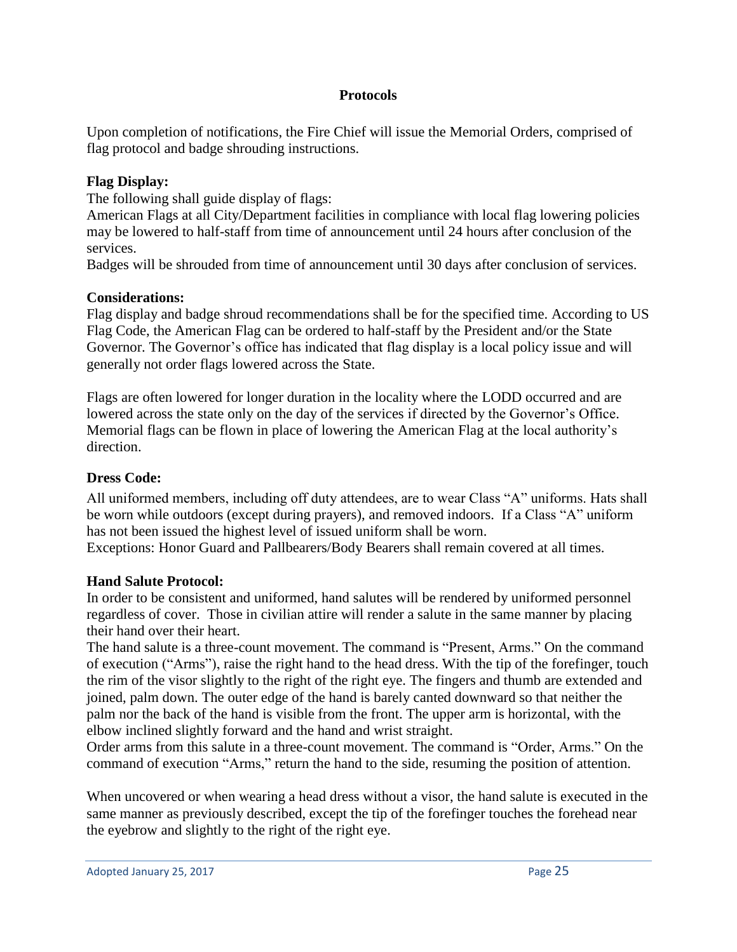#### **Protocols**

Upon completion of notifications, the Fire Chief will issue the Memorial Orders, comprised of flag protocol and badge shrouding instructions.

#### **Flag Display:**

The following shall guide display of flags:

American Flags at all City/Department facilities in compliance with local flag lowering policies may be lowered to half-staff from time of announcement until 24 hours after conclusion of the services.

Badges will be shrouded from time of announcement until 30 days after conclusion of services.

#### **Considerations:**

Flag display and badge shroud recommendations shall be for the specified time. According to US Flag Code, the American Flag can be ordered to half-staff by the President and/or the State Governor. The Governor's office has indicated that flag display is a local policy issue and will generally not order flags lowered across the State.

Flags are often lowered for longer duration in the locality where the LODD occurred and are lowered across the state only on the day of the services if directed by the Governor's Office. Memorial flags can be flown in place of lowering the American Flag at the local authority's direction.

#### **Dress Code:**

All uniformed members, including off duty attendees, are to wear Class "A" uniforms. Hats shall be worn while outdoors (except during prayers), and removed indoors. If a Class "A" uniform has not been issued the highest level of issued uniform shall be worn.

Exceptions: Honor Guard and Pallbearers/Body Bearers shall remain covered at all times.

#### **Hand Salute Protocol:**

In order to be consistent and uniformed, hand salutes will be rendered by uniformed personnel regardless of cover. Those in civilian attire will render a salute in the same manner by placing their hand over their heart.

The hand salute is a three-count movement. The command is "Present, Arms." On the command of execution ("Arms"), raise the right hand to the head dress. With the tip of the forefinger, touch the rim of the visor slightly to the right of the right eye. The fingers and thumb are extended and joined, palm down. The outer edge of the hand is barely canted downward so that neither the palm nor the back of the hand is visible from the front. The upper arm is horizontal, with the elbow inclined slightly forward and the hand and wrist straight.

Order arms from this salute in a three-count movement. The command is "Order, Arms." On the command of execution "Arms," return the hand to the side, resuming the position of attention.

When uncovered or when wearing a head dress without a visor, the hand salute is executed in the same manner as previously described, except the tip of the forefinger touches the forehead near the eyebrow and slightly to the right of the right eye.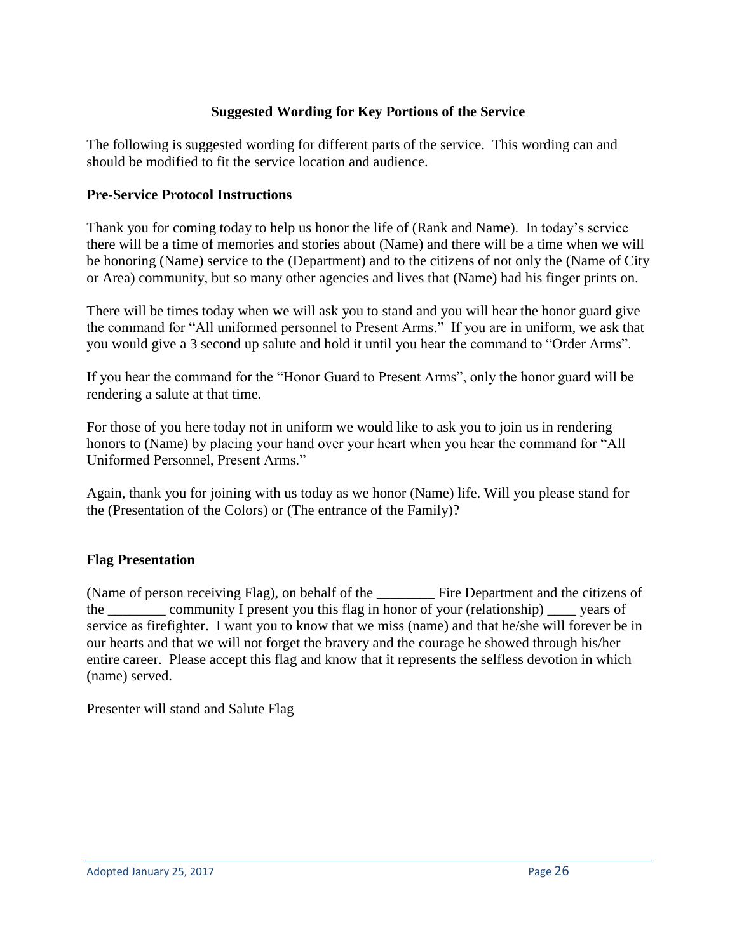# **Suggested Wording for Key Portions of the Service**

The following is suggested wording for different parts of the service. This wording can and should be modified to fit the service location and audience.

## **Pre-Service Protocol Instructions**

Thank you for coming today to help us honor the life of (Rank and Name). In today's service there will be a time of memories and stories about (Name) and there will be a time when we will be honoring (Name) service to the (Department) and to the citizens of not only the (Name of City or Area) community, but so many other agencies and lives that (Name) had his finger prints on.

There will be times today when we will ask you to stand and you will hear the honor guard give the command for "All uniformed personnel to Present Arms." If you are in uniform, we ask that you would give a 3 second up salute and hold it until you hear the command to "Order Arms".

If you hear the command for the "Honor Guard to Present Arms", only the honor guard will be rendering a salute at that time.

For those of you here today not in uniform we would like to ask you to join us in rendering honors to (Name) by placing your hand over your heart when you hear the command for "All Uniformed Personnel, Present Arms."

Again, thank you for joining with us today as we honor (Name) life. Will you please stand for the (Presentation of the Colors) or (The entrance of the Family)?

# **Flag Presentation**

(Name of person receiving Flag), on behalf of the Fire Department and the citizens of the \_\_\_\_\_\_\_\_ community I present you this flag in honor of your (relationship) \_\_\_\_ years of service as firefighter. I want you to know that we miss (name) and that he/she will forever be in our hearts and that we will not forget the bravery and the courage he showed through his/her entire career. Please accept this flag and know that it represents the selfless devotion in which (name) served.

Presenter will stand and Salute Flag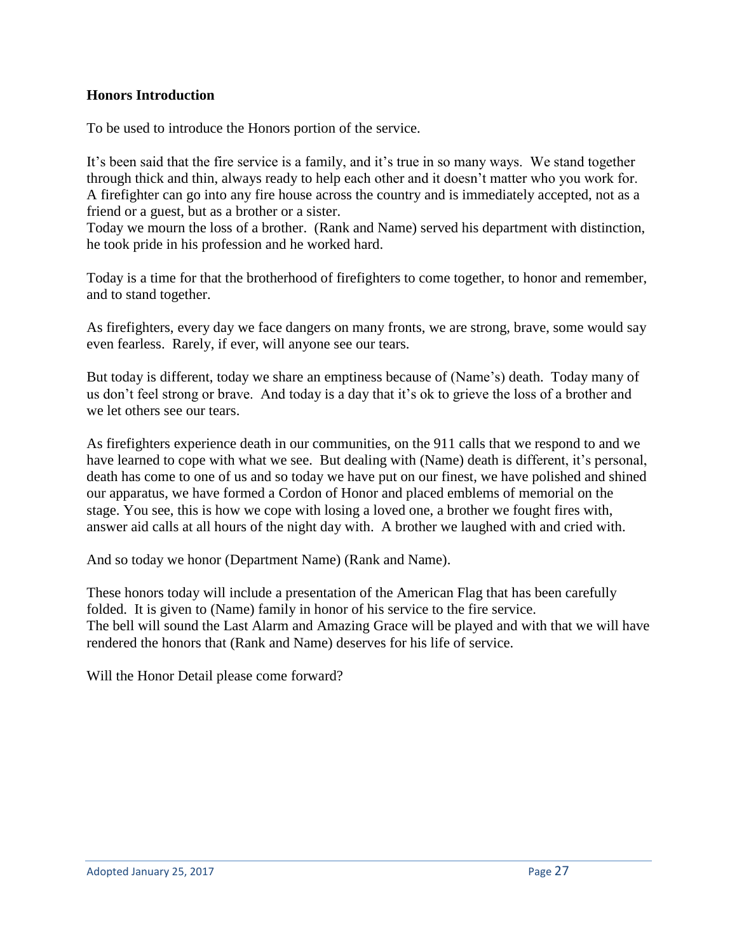#### **Honors Introduction**

To be used to introduce the Honors portion of the service.

It's been said that the fire service is a family, and it's true in so many ways. We stand together through thick and thin, always ready to help each other and it doesn't matter who you work for. A firefighter can go into any fire house across the country and is immediately accepted, not as a friend or a guest, but as a brother or a sister.

Today we mourn the loss of a brother. (Rank and Name) served his department with distinction, he took pride in his profession and he worked hard.

Today is a time for that the brotherhood of firefighters to come together, to honor and remember, and to stand together.

As firefighters, every day we face dangers on many fronts, we are strong, brave, some would say even fearless. Rarely, if ever, will anyone see our tears.

But today is different, today we share an emptiness because of (Name's) death. Today many of us don't feel strong or brave. And today is a day that it's ok to grieve the loss of a brother and we let others see our tears.

As firefighters experience death in our communities, on the 911 calls that we respond to and we have learned to cope with what we see. But dealing with (Name) death is different, it's personal, death has come to one of us and so today we have put on our finest, we have polished and shined our apparatus, we have formed a Cordon of Honor and placed emblems of memorial on the stage. You see, this is how we cope with losing a loved one, a brother we fought fires with, answer aid calls at all hours of the night day with. A brother we laughed with and cried with.

And so today we honor (Department Name) (Rank and Name).

These honors today will include a presentation of the American Flag that has been carefully folded. It is given to (Name) family in honor of his service to the fire service. The bell will sound the Last Alarm and Amazing Grace will be played and with that we will have rendered the honors that (Rank and Name) deserves for his life of service.

Will the Honor Detail please come forward?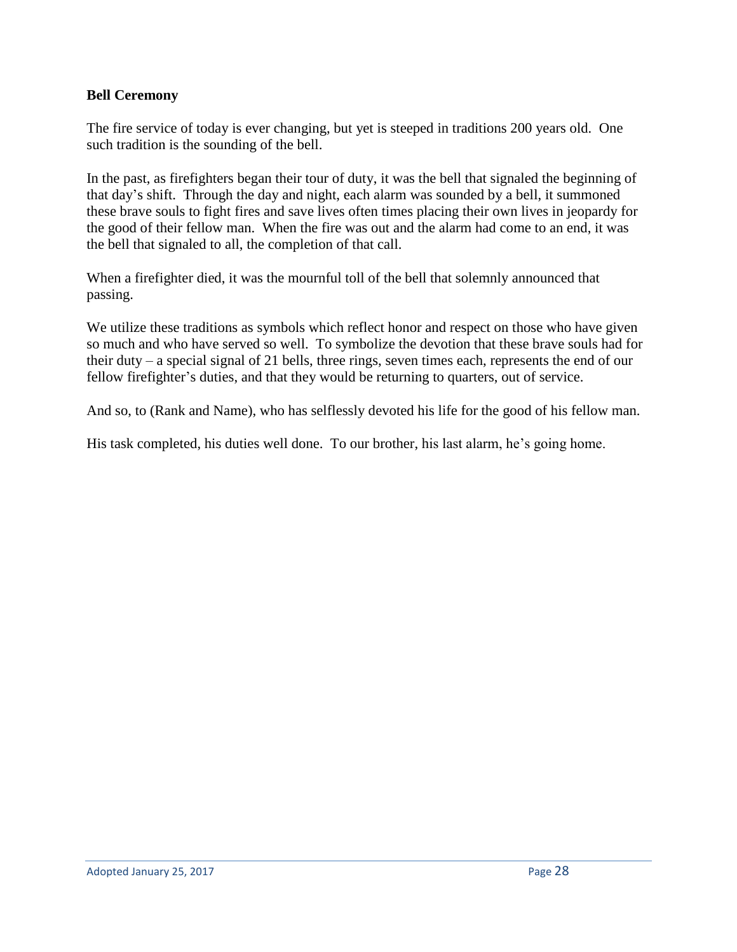#### **Bell Ceremony**

The fire service of today is ever changing, but yet is steeped in traditions 200 years old. One such tradition is the sounding of the bell.

In the past, as firefighters began their tour of duty, it was the bell that signaled the beginning of that day's shift. Through the day and night, each alarm was sounded by a bell, it summoned these brave souls to fight fires and save lives often times placing their own lives in jeopardy for the good of their fellow man. When the fire was out and the alarm had come to an end, it was the bell that signaled to all, the completion of that call.

When a firefighter died, it was the mournful toll of the bell that solemnly announced that passing.

We utilize these traditions as symbols which reflect honor and respect on those who have given so much and who have served so well. To symbolize the devotion that these brave souls had for their duty – a special signal of 21 bells, three rings, seven times each, represents the end of our fellow firefighter's duties, and that they would be returning to quarters, out of service.

And so, to (Rank and Name), who has selflessly devoted his life for the good of his fellow man.

His task completed, his duties well done. To our brother, his last alarm, he's going home.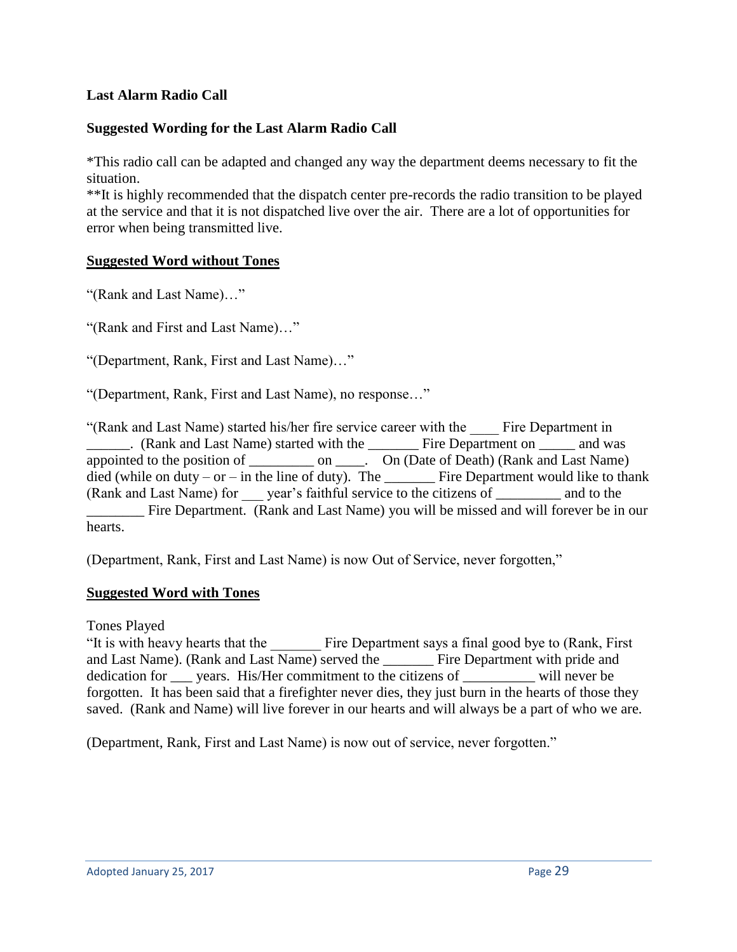#### **Last Alarm Radio Call**

## **Suggested Wording for the Last Alarm Radio Call**

\*This radio call can be adapted and changed any way the department deems necessary to fit the situation.

\*\*It is highly recommended that the dispatch center pre-records the radio transition to be played at the service and that it is not dispatched live over the air. There are a lot of opportunities for error when being transmitted live.

#### **Suggested Word without Tones**

"(Rank and Last Name)…"

"(Rank and First and Last Name)…"

"(Department, Rank, First and Last Name)…"

"(Department, Rank, First and Last Name), no response…"

"(Rank and Last Name) started his/her fire service career with the \_\_\_\_ Fire Department in \_\_\_\_\_\_. (Rank and Last Name) started with the \_\_\_\_\_\_\_ Fire Department on \_\_\_\_\_ and was appointed to the position of \_\_\_\_\_\_\_\_\_\_ on \_\_\_\_. On (Date of Death) (Rank and Last Name) died (while on duty – or – in the line of duty). The Fire Department would like to thank (Rank and Last Name) for year's faithful service to the citizens of \_\_\_\_\_\_\_\_ and to the Fire Department. (Rank and Last Name) you will be missed and will forever be in our hearts.

(Department, Rank, First and Last Name) is now Out of Service, never forgotten,"

#### **Suggested Word with Tones**

Tones Played

"It is with heavy hearts that the \_\_\_\_\_\_\_ Fire Department says a final good bye to (Rank, First and Last Name). (Rank and Last Name) served the \_\_\_\_\_\_\_ Fire Department with pride and dedication for wears. His/Her commitment to the citizens of will never be forgotten. It has been said that a firefighter never dies, they just burn in the hearts of those they saved. (Rank and Name) will live forever in our hearts and will always be a part of who we are.

(Department, Rank, First and Last Name) is now out of service, never forgotten."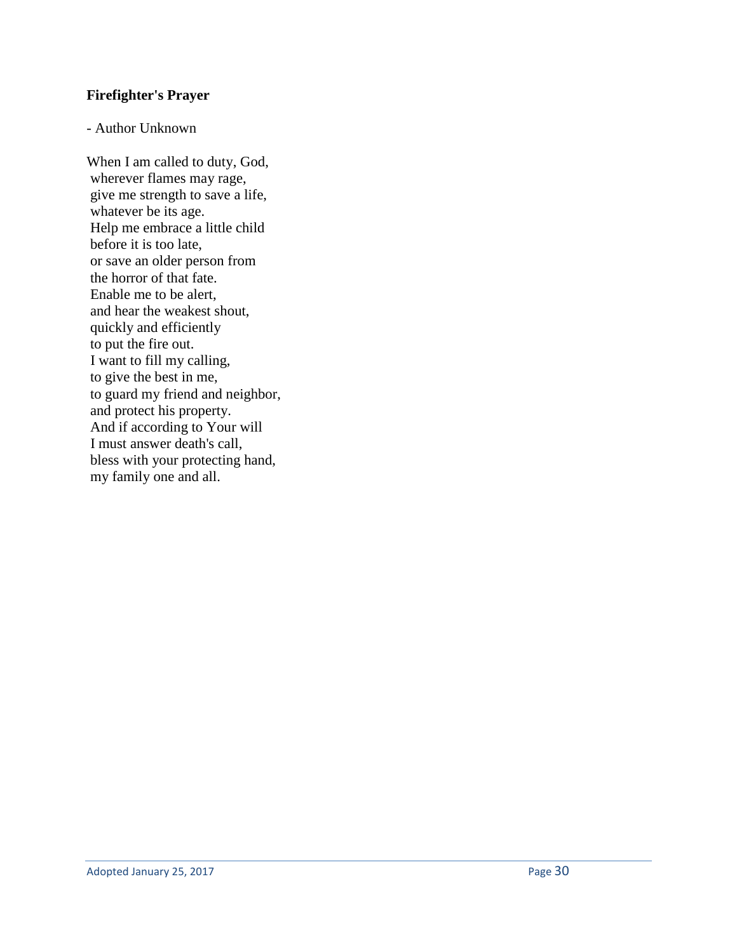## **Firefighter's Prayer**

#### - Author Unknown

When I am called to duty, God, wherever flames may rage, give me strength to save a life, whatever be its age. Help me embrace a little child before it is too late, or save an older person from the horror of that fate. Enable me to be alert, and hear the weakest shout, quickly and efficiently to put the fire out. I want to fill my calling, to give the best in me, to guard my friend and neighbor, and protect his property. And if according to Your will I must answer death's call, bless with your protecting hand, my family one and all.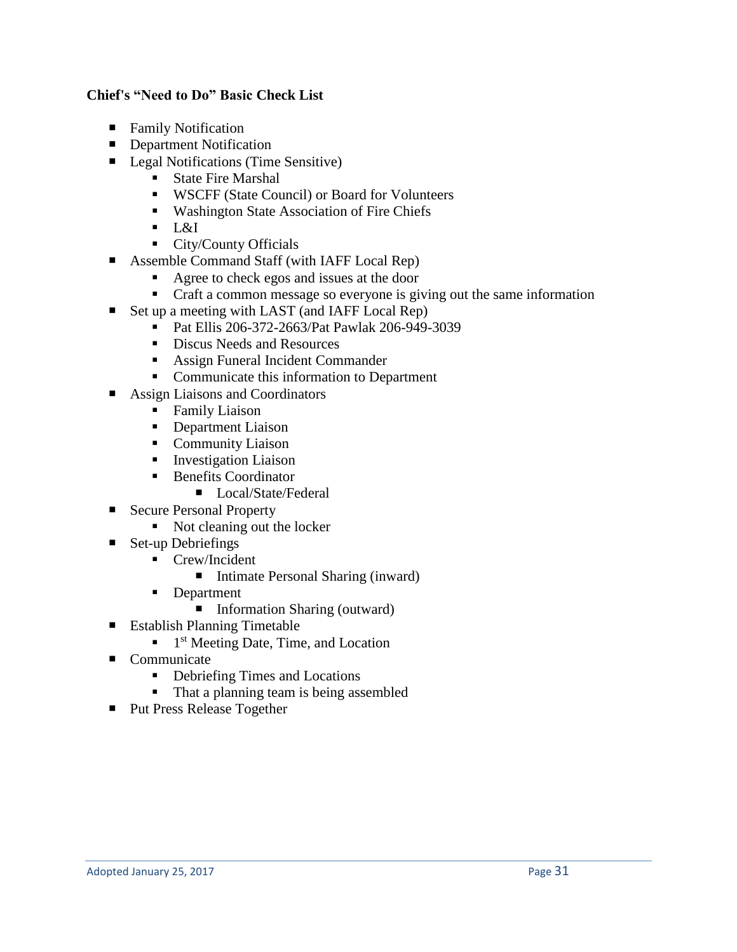## **Chief's "Need to Do" Basic Check List**

- Family Notification
- **Department Notification**
- Legal Notifications (Time Sensitive)
	- State Fire Marshal
	- WSCFF (State Council) or Board for Volunteers
	- Washington State Association of Fire Chiefs
	- L&I
	- City/County Officials
- Assemble Command Staff (with IAFF Local Rep)
	- Agree to check egos and issues at the door
	- Craft a common message so everyone is giving out the same information
- Set up a meeting with LAST (and IAFF Local Rep)
	- Pat Ellis 206-372-2663/Pat Pawlak 206-949-3039
	- Discus Needs and Resources
	- Assign Funeral Incident Commander
	- Communicate this information to Department
- Assign Liaisons and Coordinators
	- Family Liaison
	- Department Liaison
	- Community Liaison
	- **EXECUTE:** Investigation Liaison
	- Benefits Coordinator
		- Local/State/Federal
- Secure Personal Property
	- Not cleaning out the locker
- $\blacksquare$  Set-up Debriefings
	- Crew/Incident
		- Intimate Personal Sharing (inward)
	- Department
		- $\blacksquare$  Information Sharing (outward)
- Establish Planning Timetable
	- **I**st Meeting Date, Time, and Location
- Communicate
	- Debriefing Times and Locations
	- That a planning team is being assembled
- Put Press Release Together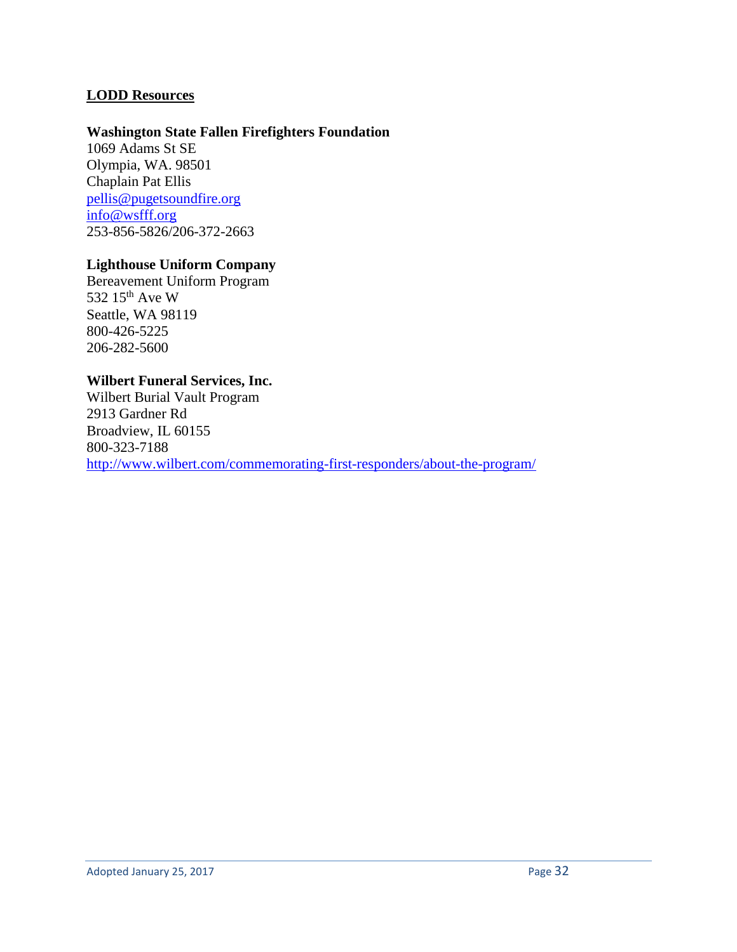## **LODD Resources**

#### **Washington State Fallen Firefighters Foundation**

1069 Adams St SE Olympia, WA. 98501 Chaplain Pat Ellis [pellis@pugetsoundfire.org](mailto:pellis@pugetsoundfire.org) [info@wsfff.org](mailto:info@wsfff.org) 253-856-5826/206-372-2663

#### **Lighthouse Uniform Company**

Bereavement Uniform Program 532 15<sup>th</sup> Ave W Seattle, WA 98119 800-426-5225 206-282-5600

#### **Wilbert Funeral Services, Inc.**

Wilbert Burial Vault Program 2913 Gardner Rd Broadview, IL 60155 800-323-7188 <http://www.wilbert.com/commemorating-first-responders/about-the-program/>